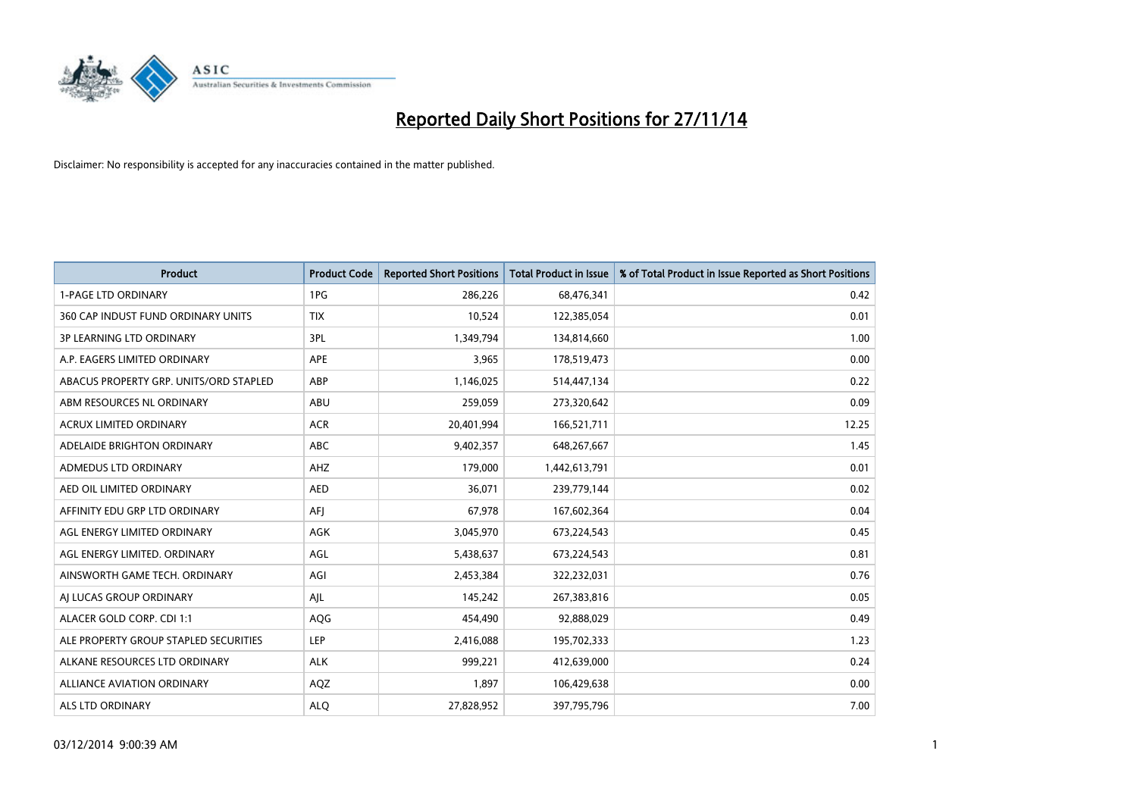

| <b>Product</b>                         | <b>Product Code</b> | <b>Reported Short Positions</b> | <b>Total Product in Issue</b> | % of Total Product in Issue Reported as Short Positions |
|----------------------------------------|---------------------|---------------------------------|-------------------------------|---------------------------------------------------------|
| <b>1-PAGE LTD ORDINARY</b>             | 1PG                 | 286,226                         | 68,476,341                    | 0.42                                                    |
| 360 CAP INDUST FUND ORDINARY UNITS     | <b>TIX</b>          | 10,524                          | 122,385,054                   | 0.01                                                    |
| <b>3P LEARNING LTD ORDINARY</b>        | 3PL                 | 1,349,794                       | 134,814,660                   | 1.00                                                    |
| A.P. EAGERS LIMITED ORDINARY           | <b>APE</b>          | 3,965                           | 178,519,473                   | 0.00                                                    |
| ABACUS PROPERTY GRP. UNITS/ORD STAPLED | ABP                 | 1,146,025                       | 514,447,134                   | 0.22                                                    |
| ABM RESOURCES NL ORDINARY              | ABU                 | 259,059                         | 273,320,642                   | 0.09                                                    |
| <b>ACRUX LIMITED ORDINARY</b>          | <b>ACR</b>          | 20,401,994                      | 166,521,711                   | 12.25                                                   |
| ADELAIDE BRIGHTON ORDINARY             | <b>ABC</b>          | 9,402,357                       | 648,267,667                   | 1.45                                                    |
| ADMEDUS LTD ORDINARY                   | AHZ                 | 179,000                         | 1,442,613,791                 | 0.01                                                    |
| AED OIL LIMITED ORDINARY               | <b>AED</b>          | 36,071                          | 239,779,144                   | 0.02                                                    |
| AFFINITY EDU GRP LTD ORDINARY          | AFI                 | 67,978                          | 167,602,364                   | 0.04                                                    |
| AGL ENERGY LIMITED ORDINARY            | AGK                 | 3,045,970                       | 673,224,543                   | 0.45                                                    |
| AGL ENERGY LIMITED. ORDINARY           | AGL                 | 5,438,637                       | 673,224,543                   | 0.81                                                    |
| AINSWORTH GAME TECH. ORDINARY          | AGI                 | 2,453,384                       | 322,232,031                   | 0.76                                                    |
| AI LUCAS GROUP ORDINARY                | AJL                 | 145,242                         | 267,383,816                   | 0.05                                                    |
| ALACER GOLD CORP. CDI 1:1              | AQG                 | 454,490                         | 92,888,029                    | 0.49                                                    |
| ALE PROPERTY GROUP STAPLED SECURITIES  | LEP                 | 2,416,088                       | 195,702,333                   | 1.23                                                    |
| ALKANE RESOURCES LTD ORDINARY          | <b>ALK</b>          | 999,221                         | 412,639,000                   | 0.24                                                    |
| ALLIANCE AVIATION ORDINARY             | AQZ                 | 1,897                           | 106,429,638                   | 0.00                                                    |
| ALS LTD ORDINARY                       | <b>ALO</b>          | 27,828,952                      | 397,795,796                   | 7.00                                                    |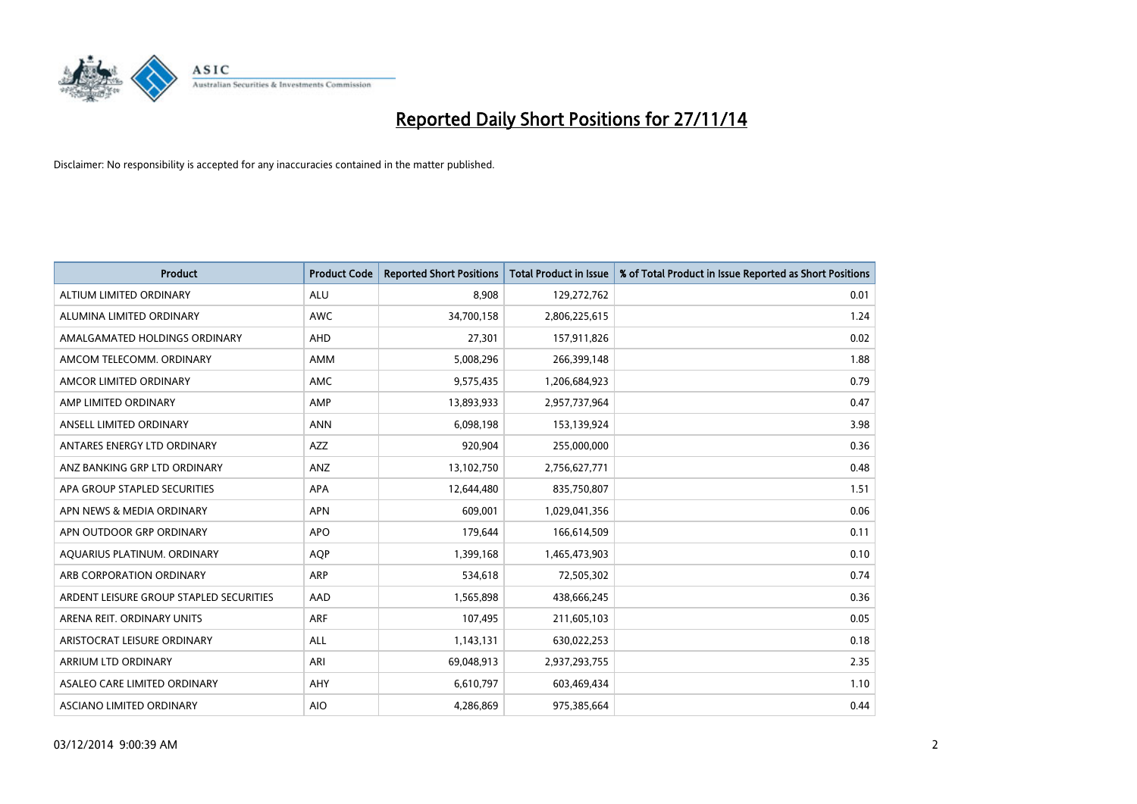

| <b>Product</b>                          | <b>Product Code</b> | <b>Reported Short Positions</b> | <b>Total Product in Issue</b> | % of Total Product in Issue Reported as Short Positions |
|-----------------------------------------|---------------------|---------------------------------|-------------------------------|---------------------------------------------------------|
| ALTIUM LIMITED ORDINARY                 | <b>ALU</b>          | 8,908                           | 129,272,762                   | 0.01                                                    |
| ALUMINA LIMITED ORDINARY                | <b>AWC</b>          | 34,700,158                      | 2,806,225,615                 | 1.24                                                    |
| AMALGAMATED HOLDINGS ORDINARY           | AHD                 | 27,301                          | 157,911,826                   | 0.02                                                    |
| AMCOM TELECOMM. ORDINARY                | <b>AMM</b>          | 5,008,296                       | 266,399,148                   | 1.88                                                    |
| AMCOR LIMITED ORDINARY                  | AMC                 | 9,575,435                       | 1,206,684,923                 | 0.79                                                    |
| AMP LIMITED ORDINARY                    | AMP                 | 13,893,933                      | 2,957,737,964                 | 0.47                                                    |
| ANSELL LIMITED ORDINARY                 | <b>ANN</b>          | 6,098,198                       | 153,139,924                   | 3.98                                                    |
| ANTARES ENERGY LTD ORDINARY             | AZZ                 | 920,904                         | 255,000,000                   | 0.36                                                    |
| ANZ BANKING GRP LTD ORDINARY            | ANZ                 | 13,102,750                      | 2,756,627,771                 | 0.48                                                    |
| APA GROUP STAPLED SECURITIES            | <b>APA</b>          | 12,644,480                      | 835,750,807                   | 1.51                                                    |
| APN NEWS & MEDIA ORDINARY               | <b>APN</b>          | 609,001                         | 1,029,041,356                 | 0.06                                                    |
| APN OUTDOOR GRP ORDINARY                | <b>APO</b>          | 179,644                         | 166,614,509                   | 0.11                                                    |
| AQUARIUS PLATINUM. ORDINARY             | <b>AOP</b>          | 1,399,168                       | 1,465,473,903                 | 0.10                                                    |
| ARB CORPORATION ORDINARY                | <b>ARP</b>          | 534,618                         | 72,505,302                    | 0.74                                                    |
| ARDENT LEISURE GROUP STAPLED SECURITIES | AAD                 | 1,565,898                       | 438,666,245                   | 0.36                                                    |
| ARENA REIT. ORDINARY UNITS              | <b>ARF</b>          | 107,495                         | 211,605,103                   | 0.05                                                    |
| ARISTOCRAT LEISURE ORDINARY             | ALL                 | 1,143,131                       | 630,022,253                   | 0.18                                                    |
| ARRIUM LTD ORDINARY                     | ARI                 | 69,048,913                      | 2,937,293,755                 | 2.35                                                    |
| ASALEO CARE LIMITED ORDINARY            | AHY                 | 6,610,797                       | 603,469,434                   | 1.10                                                    |
| ASCIANO LIMITED ORDINARY                | <b>AIO</b>          | 4,286,869                       | 975,385,664                   | 0.44                                                    |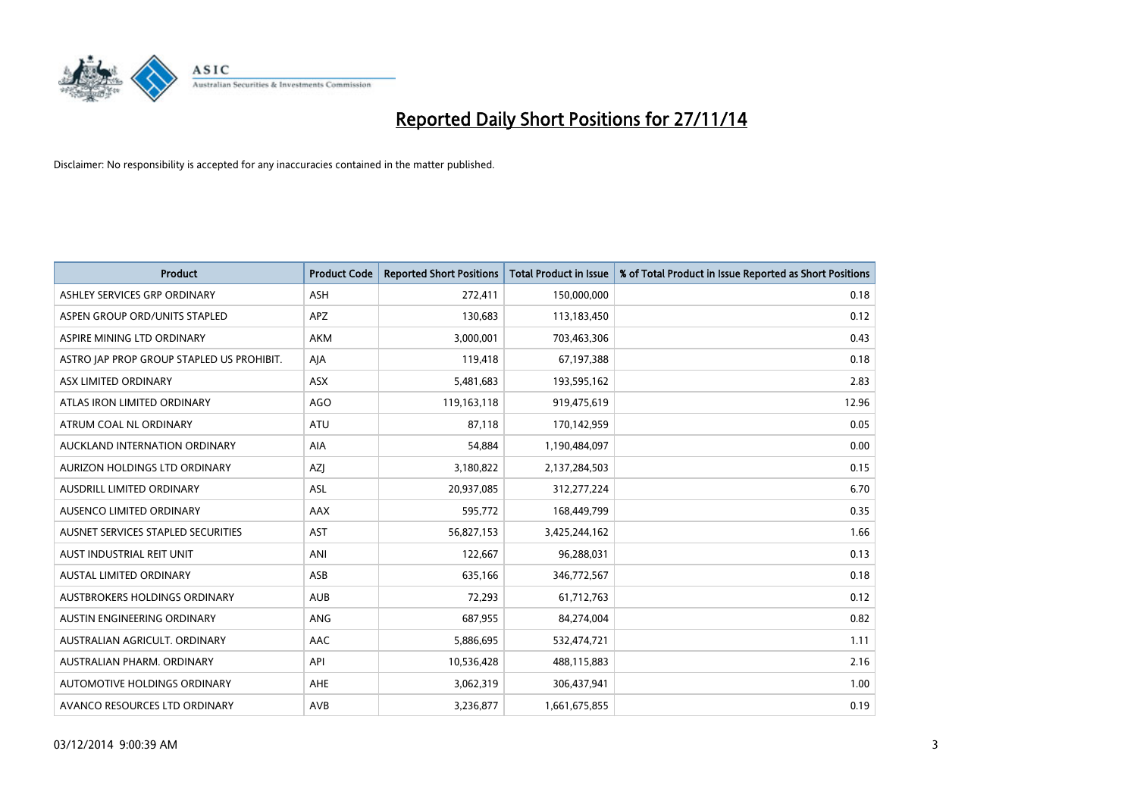

| <b>Product</b>                            | <b>Product Code</b> | <b>Reported Short Positions</b> | <b>Total Product in Issue</b> | % of Total Product in Issue Reported as Short Positions |
|-------------------------------------------|---------------------|---------------------------------|-------------------------------|---------------------------------------------------------|
| ASHLEY SERVICES GRP ORDINARY              | <b>ASH</b>          | 272,411                         | 150,000,000                   | 0.18                                                    |
| ASPEN GROUP ORD/UNITS STAPLED             | <b>APZ</b>          | 130,683                         | 113,183,450                   | 0.12                                                    |
| ASPIRE MINING LTD ORDINARY                | <b>AKM</b>          | 3,000,001                       | 703,463,306                   | 0.43                                                    |
| ASTRO JAP PROP GROUP STAPLED US PROHIBIT. | AJA                 | 119,418                         | 67,197,388                    | 0.18                                                    |
| ASX LIMITED ORDINARY                      | ASX                 | 5,481,683                       | 193,595,162                   | 2.83                                                    |
| ATLAS IRON LIMITED ORDINARY               | <b>AGO</b>          | 119,163,118                     | 919,475,619                   | 12.96                                                   |
| ATRUM COAL NL ORDINARY                    | ATU                 | 87,118                          | 170,142,959                   | 0.05                                                    |
| AUCKLAND INTERNATION ORDINARY             | AIA                 | 54,884                          | 1,190,484,097                 | 0.00                                                    |
| AURIZON HOLDINGS LTD ORDINARY             | AZJ                 | 3,180,822                       | 2,137,284,503                 | 0.15                                                    |
| AUSDRILL LIMITED ORDINARY                 | <b>ASL</b>          | 20,937,085                      | 312,277,224                   | 6.70                                                    |
| AUSENCO LIMITED ORDINARY                  | AAX                 | 595,772                         | 168,449,799                   | 0.35                                                    |
| AUSNET SERVICES STAPLED SECURITIES        | <b>AST</b>          | 56,827,153                      | 3,425,244,162                 | 1.66                                                    |
| AUST INDUSTRIAL REIT UNIT                 | ANI                 | 122,667                         | 96,288,031                    | 0.13                                                    |
| <b>AUSTAL LIMITED ORDINARY</b>            | ASB                 | 635,166                         | 346,772,567                   | 0.18                                                    |
| AUSTBROKERS HOLDINGS ORDINARY             | <b>AUB</b>          | 72,293                          | 61,712,763                    | 0.12                                                    |
| AUSTIN ENGINEERING ORDINARY               | ANG                 | 687,955                         | 84,274,004                    | 0.82                                                    |
| AUSTRALIAN AGRICULT. ORDINARY             | AAC                 | 5,886,695                       | 532,474,721                   | 1.11                                                    |
| AUSTRALIAN PHARM. ORDINARY                | API                 | 10,536,428                      | 488,115,883                   | 2.16                                                    |
| AUTOMOTIVE HOLDINGS ORDINARY              | <b>AHE</b>          | 3,062,319                       | 306,437,941                   | 1.00                                                    |
| AVANCO RESOURCES LTD ORDINARY             | AVB                 | 3,236,877                       | 1,661,675,855                 | 0.19                                                    |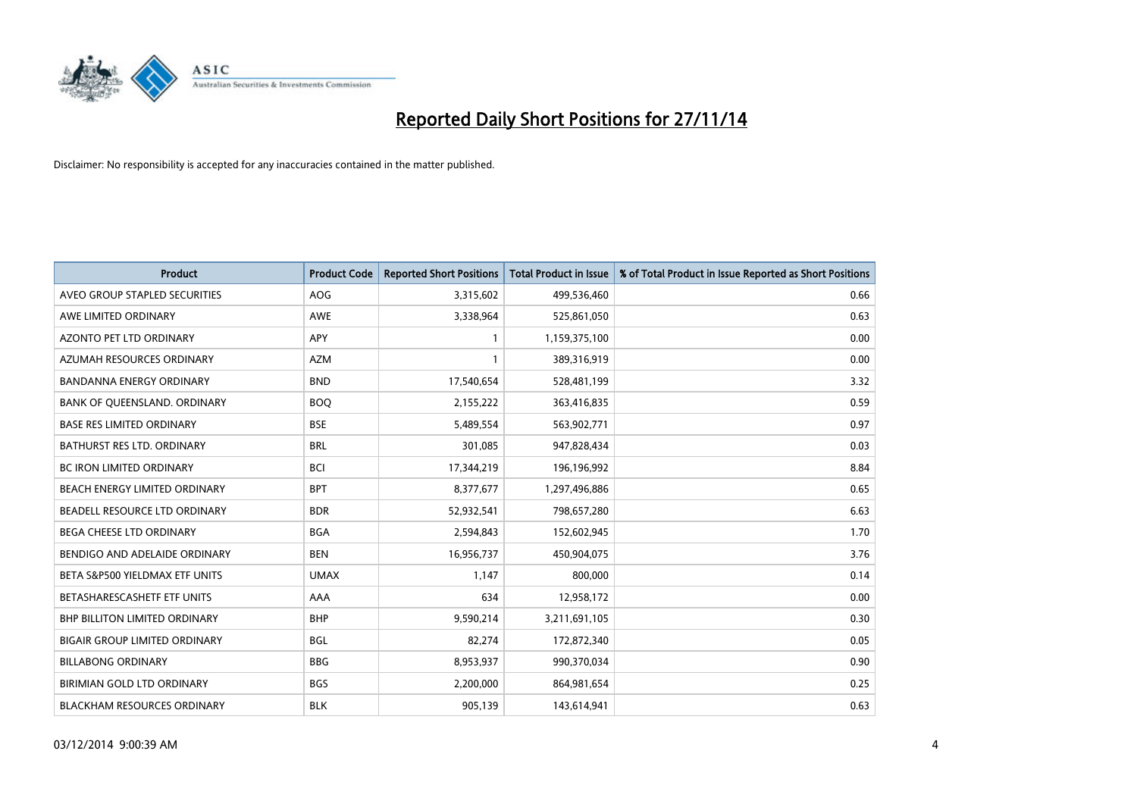

| <b>Product</b>                       | <b>Product Code</b> | <b>Reported Short Positions</b> | <b>Total Product in Issue</b> | % of Total Product in Issue Reported as Short Positions |
|--------------------------------------|---------------------|---------------------------------|-------------------------------|---------------------------------------------------------|
| AVEO GROUP STAPLED SECURITIES        | <b>AOG</b>          | 3,315,602                       | 499,536,460                   | 0.66                                                    |
| AWE LIMITED ORDINARY                 | AWE                 | 3,338,964                       | 525,861,050                   | 0.63                                                    |
| <b>AZONTO PET LTD ORDINARY</b>       | APY                 | $\mathbf{1}$                    | 1,159,375,100                 | 0.00                                                    |
| AZUMAH RESOURCES ORDINARY            | <b>AZM</b>          | $\mathbf{1}$                    | 389,316,919                   | 0.00                                                    |
| <b>BANDANNA ENERGY ORDINARY</b>      | <b>BND</b>          | 17,540,654                      | 528,481,199                   | 3.32                                                    |
| BANK OF QUEENSLAND. ORDINARY         | <b>BOO</b>          | 2,155,222                       | 363,416,835                   | 0.59                                                    |
| <b>BASE RES LIMITED ORDINARY</b>     | <b>BSE</b>          | 5,489,554                       | 563,902,771                   | 0.97                                                    |
| BATHURST RES LTD. ORDINARY           | <b>BRL</b>          | 301,085                         | 947,828,434                   | 0.03                                                    |
| BC IRON LIMITED ORDINARY             | <b>BCI</b>          | 17,344,219                      | 196,196,992                   | 8.84                                                    |
| BEACH ENERGY LIMITED ORDINARY        | <b>BPT</b>          | 8,377,677                       | 1,297,496,886                 | 0.65                                                    |
| BEADELL RESOURCE LTD ORDINARY        | <b>BDR</b>          | 52,932,541                      | 798,657,280                   | 6.63                                                    |
| BEGA CHEESE LTD ORDINARY             | <b>BGA</b>          | 2,594,843                       | 152,602,945                   | 1.70                                                    |
| BENDIGO AND ADELAIDE ORDINARY        | <b>BEN</b>          | 16,956,737                      | 450,904,075                   | 3.76                                                    |
| BETA S&P500 YIELDMAX ETF UNITS       | <b>UMAX</b>         | 1,147                           | 800,000                       | 0.14                                                    |
| BETASHARESCASHETF ETF UNITS          | AAA                 | 634                             | 12,958,172                    | 0.00                                                    |
| BHP BILLITON LIMITED ORDINARY        | <b>BHP</b>          | 9,590,214                       | 3,211,691,105                 | 0.30                                                    |
| <b>BIGAIR GROUP LIMITED ORDINARY</b> | <b>BGL</b>          | 82,274                          | 172,872,340                   | 0.05                                                    |
| <b>BILLABONG ORDINARY</b>            | <b>BBG</b>          | 8,953,937                       | 990,370,034                   | 0.90                                                    |
| BIRIMIAN GOLD LTD ORDINARY           | <b>BGS</b>          | 2,200,000                       | 864,981,654                   | 0.25                                                    |
| BLACKHAM RESOURCES ORDINARY          | <b>BLK</b>          | 905,139                         | 143,614,941                   | 0.63                                                    |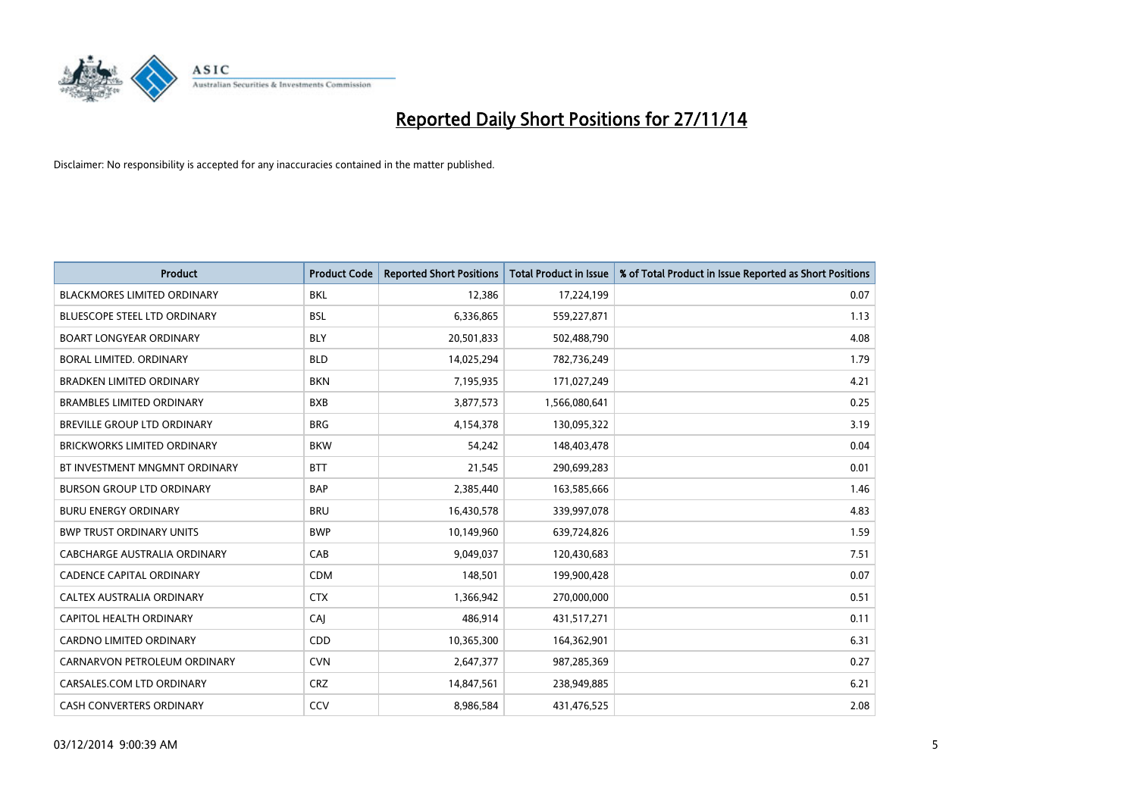

| <b>Product</b>                     | <b>Product Code</b> | <b>Reported Short Positions</b> | <b>Total Product in Issue</b> | % of Total Product in Issue Reported as Short Positions |
|------------------------------------|---------------------|---------------------------------|-------------------------------|---------------------------------------------------------|
| <b>BLACKMORES LIMITED ORDINARY</b> | <b>BKL</b>          | 12,386                          | 17,224,199                    | 0.07                                                    |
| BLUESCOPE STEEL LTD ORDINARY       | BSL                 | 6,336,865                       | 559,227,871                   | 1.13                                                    |
| <b>BOART LONGYEAR ORDINARY</b>     | <b>BLY</b>          | 20,501,833                      | 502,488,790                   | 4.08                                                    |
| BORAL LIMITED. ORDINARY            | <b>BLD</b>          | 14,025,294                      | 782,736,249                   | 1.79                                                    |
| <b>BRADKEN LIMITED ORDINARY</b>    | <b>BKN</b>          | 7,195,935                       | 171,027,249                   | 4.21                                                    |
| <b>BRAMBLES LIMITED ORDINARY</b>   | <b>BXB</b>          | 3,877,573                       | 1,566,080,641                 | 0.25                                                    |
| BREVILLE GROUP LTD ORDINARY        | <b>BRG</b>          | 4,154,378                       | 130,095,322                   | 3.19                                                    |
| BRICKWORKS LIMITED ORDINARY        | <b>BKW</b>          | 54,242                          | 148,403,478                   | 0.04                                                    |
| BT INVESTMENT MNGMNT ORDINARY      | <b>BTT</b>          | 21,545                          | 290,699,283                   | 0.01                                                    |
| <b>BURSON GROUP LTD ORDINARY</b>   | <b>BAP</b>          | 2,385,440                       | 163,585,666                   | 1.46                                                    |
| <b>BURU ENERGY ORDINARY</b>        | <b>BRU</b>          | 16,430,578                      | 339,997,078                   | 4.83                                                    |
| <b>BWP TRUST ORDINARY UNITS</b>    | <b>BWP</b>          | 10,149,960                      | 639,724,826                   | 1.59                                                    |
| CABCHARGE AUSTRALIA ORDINARY       | CAB                 | 9,049,037                       | 120,430,683                   | 7.51                                                    |
| <b>CADENCE CAPITAL ORDINARY</b>    | <b>CDM</b>          | 148,501                         | 199,900,428                   | 0.07                                                    |
| CALTEX AUSTRALIA ORDINARY          | <b>CTX</b>          | 1,366,942                       | 270,000,000                   | 0.51                                                    |
| CAPITOL HEALTH ORDINARY            | CAI                 | 486,914                         | 431,517,271                   | 0.11                                                    |
| CARDNO LIMITED ORDINARY            | CDD                 | 10,365,300                      | 164,362,901                   | 6.31                                                    |
| CARNARVON PETROLEUM ORDINARY       | <b>CVN</b>          | 2,647,377                       | 987,285,369                   | 0.27                                                    |
| CARSALES.COM LTD ORDINARY          | <b>CRZ</b>          | 14,847,561                      | 238,949,885                   | 6.21                                                    |
| CASH CONVERTERS ORDINARY           | CCV                 | 8,986,584                       | 431,476,525                   | 2.08                                                    |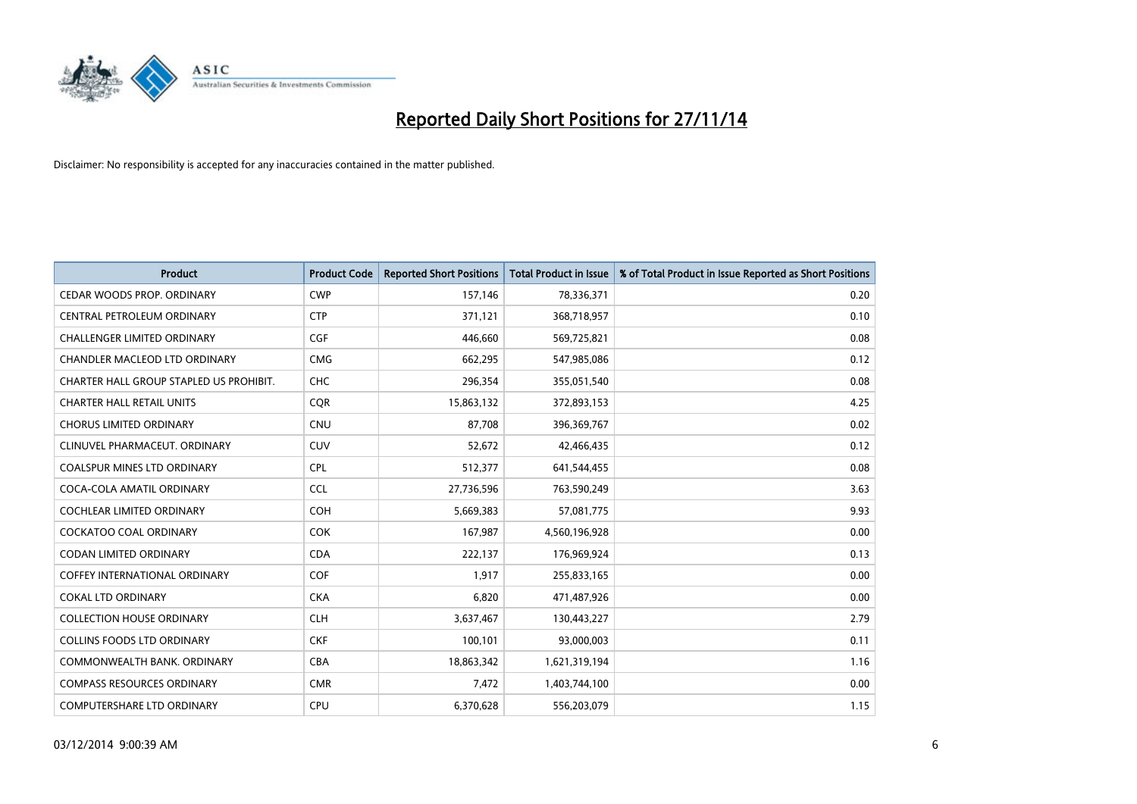

| <b>Product</b>                          | <b>Product Code</b> | <b>Reported Short Positions</b> | <b>Total Product in Issue</b> | % of Total Product in Issue Reported as Short Positions |
|-----------------------------------------|---------------------|---------------------------------|-------------------------------|---------------------------------------------------------|
| CEDAR WOODS PROP. ORDINARY              | <b>CWP</b>          | 157,146                         | 78,336,371                    | 0.20                                                    |
| CENTRAL PETROLEUM ORDINARY              | <b>CTP</b>          | 371,121                         | 368,718,957                   | 0.10                                                    |
| <b>CHALLENGER LIMITED ORDINARY</b>      | <b>CGF</b>          | 446,660                         | 569,725,821                   | 0.08                                                    |
| CHANDLER MACLEOD LTD ORDINARY           | <b>CMG</b>          | 662,295                         | 547,985,086                   | 0.12                                                    |
| CHARTER HALL GROUP STAPLED US PROHIBIT. | <b>CHC</b>          | 296,354                         | 355,051,540                   | 0.08                                                    |
| <b>CHARTER HALL RETAIL UNITS</b>        | CQR                 | 15,863,132                      | 372,893,153                   | 4.25                                                    |
| <b>CHORUS LIMITED ORDINARY</b>          | <b>CNU</b>          | 87,708                          | 396,369,767                   | 0.02                                                    |
| CLINUVEL PHARMACEUT, ORDINARY           | CUV                 | 52,672                          | 42,466,435                    | 0.12                                                    |
| COALSPUR MINES LTD ORDINARY             | <b>CPL</b>          | 512,377                         | 641,544,455                   | 0.08                                                    |
| COCA-COLA AMATIL ORDINARY               | <b>CCL</b>          | 27,736,596                      | 763,590,249                   | 3.63                                                    |
| <b>COCHLEAR LIMITED ORDINARY</b>        | <b>COH</b>          | 5,669,383                       | 57,081,775                    | 9.93                                                    |
| <b>COCKATOO COAL ORDINARY</b>           | <b>COK</b>          | 167,987                         | 4,560,196,928                 | 0.00                                                    |
| <b>CODAN LIMITED ORDINARY</b>           | <b>CDA</b>          | 222,137                         | 176,969,924                   | 0.13                                                    |
| <b>COFFEY INTERNATIONAL ORDINARY</b>    | <b>COF</b>          | 1,917                           | 255,833,165                   | 0.00                                                    |
| <b>COKAL LTD ORDINARY</b>               | <b>CKA</b>          | 6,820                           | 471,487,926                   | 0.00                                                    |
| <b>COLLECTION HOUSE ORDINARY</b>        | <b>CLH</b>          | 3,637,467                       | 130,443,227                   | 2.79                                                    |
| <b>COLLINS FOODS LTD ORDINARY</b>       | <b>CKF</b>          | 100,101                         | 93,000,003                    | 0.11                                                    |
| COMMONWEALTH BANK, ORDINARY             | <b>CBA</b>          | 18,863,342                      | 1,621,319,194                 | 1.16                                                    |
| <b>COMPASS RESOURCES ORDINARY</b>       | <b>CMR</b>          | 7,472                           | 1,403,744,100                 | 0.00                                                    |
| <b>COMPUTERSHARE LTD ORDINARY</b>       | <b>CPU</b>          | 6,370,628                       | 556,203,079                   | 1.15                                                    |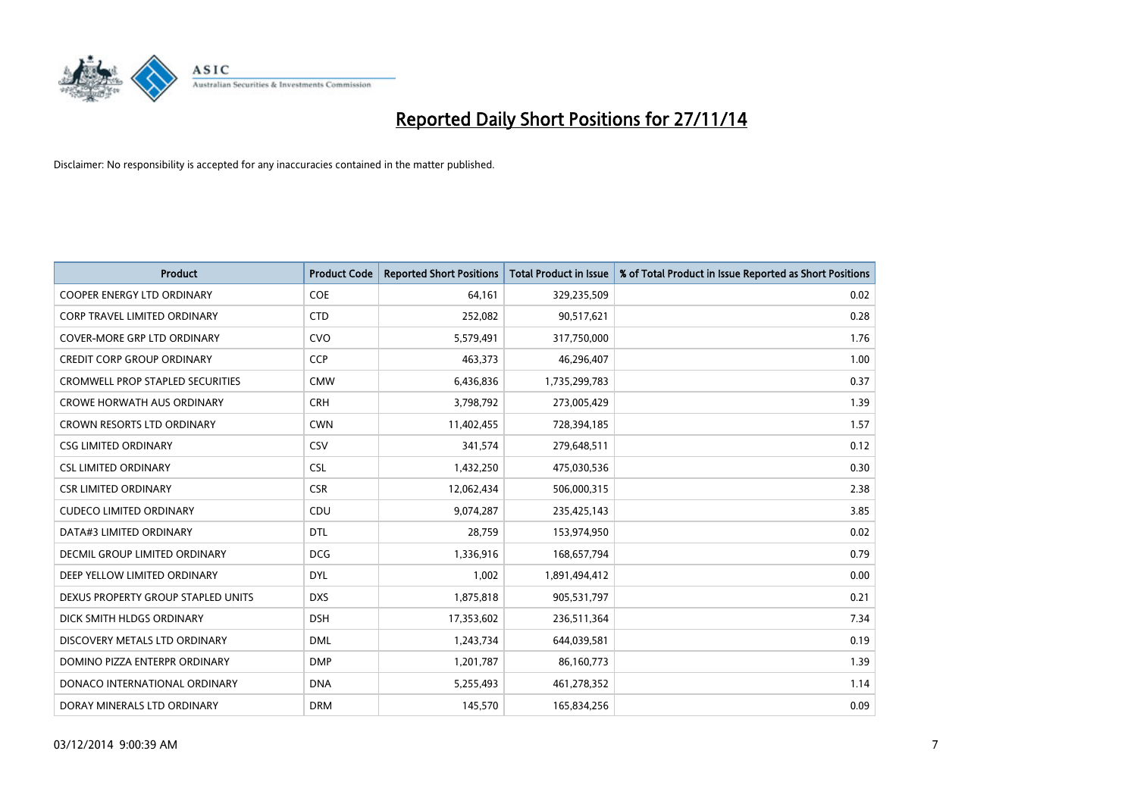

| <b>Product</b>                          | <b>Product Code</b> | <b>Reported Short Positions</b> | <b>Total Product in Issue</b> | % of Total Product in Issue Reported as Short Positions |
|-----------------------------------------|---------------------|---------------------------------|-------------------------------|---------------------------------------------------------|
| <b>COOPER ENERGY LTD ORDINARY</b>       | <b>COE</b>          | 64,161                          | 329,235,509                   | 0.02                                                    |
| CORP TRAVEL LIMITED ORDINARY            | <b>CTD</b>          | 252,082                         | 90,517,621                    | 0.28                                                    |
| COVER-MORE GRP LTD ORDINARY             | <b>CVO</b>          | 5,579,491                       | 317,750,000                   | 1.76                                                    |
| <b>CREDIT CORP GROUP ORDINARY</b>       | <b>CCP</b>          | 463,373                         | 46,296,407                    | 1.00                                                    |
| <b>CROMWELL PROP STAPLED SECURITIES</b> | <b>CMW</b>          | 6,436,836                       | 1,735,299,783                 | 0.37                                                    |
| <b>CROWE HORWATH AUS ORDINARY</b>       | <b>CRH</b>          | 3,798,792                       | 273,005,429                   | 1.39                                                    |
| CROWN RESORTS LTD ORDINARY              | <b>CWN</b>          | 11,402,455                      | 728,394,185                   | 1.57                                                    |
| <b>CSG LIMITED ORDINARY</b>             | CSV                 | 341,574                         | 279,648,511                   | 0.12                                                    |
| <b>CSL LIMITED ORDINARY</b>             | <b>CSL</b>          | 1,432,250                       | 475,030,536                   | 0.30                                                    |
| <b>CSR LIMITED ORDINARY</b>             | <b>CSR</b>          | 12,062,434                      | 506,000,315                   | 2.38                                                    |
| <b>CUDECO LIMITED ORDINARY</b>          | CDU                 | 9,074,287                       | 235,425,143                   | 3.85                                                    |
| DATA#3 LIMITED ORDINARY                 | <b>DTL</b>          | 28,759                          | 153,974,950                   | 0.02                                                    |
| <b>DECMIL GROUP LIMITED ORDINARY</b>    | <b>DCG</b>          | 1,336,916                       | 168,657,794                   | 0.79                                                    |
| DEEP YELLOW LIMITED ORDINARY            | <b>DYL</b>          | 1,002                           | 1,891,494,412                 | 0.00                                                    |
| DEXUS PROPERTY GROUP STAPLED UNITS      | <b>DXS</b>          | 1,875,818                       | 905,531,797                   | 0.21                                                    |
| DICK SMITH HLDGS ORDINARY               | <b>DSH</b>          | 17,353,602                      | 236,511,364                   | 7.34                                                    |
| DISCOVERY METALS LTD ORDINARY           | <b>DML</b>          | 1,243,734                       | 644,039,581                   | 0.19                                                    |
| DOMINO PIZZA ENTERPR ORDINARY           | <b>DMP</b>          | 1,201,787                       | 86,160,773                    | 1.39                                                    |
| DONACO INTERNATIONAL ORDINARY           | <b>DNA</b>          | 5,255,493                       | 461,278,352                   | 1.14                                                    |
| DORAY MINERALS LTD ORDINARY             | <b>DRM</b>          | 145,570                         | 165,834,256                   | 0.09                                                    |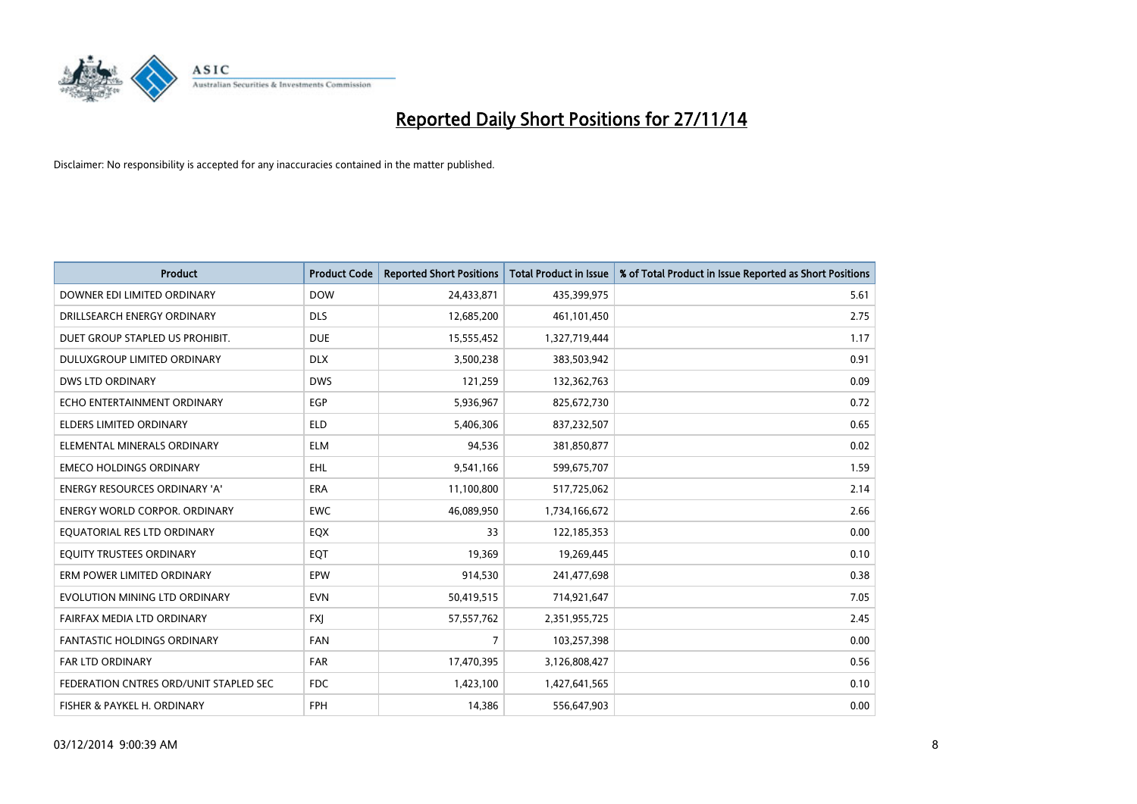

| <b>Product</b>                         | <b>Product Code</b> | <b>Reported Short Positions</b> | <b>Total Product in Issue</b> | % of Total Product in Issue Reported as Short Positions |
|----------------------------------------|---------------------|---------------------------------|-------------------------------|---------------------------------------------------------|
| DOWNER EDI LIMITED ORDINARY            | <b>DOW</b>          | 24,433,871                      | 435,399,975                   | 5.61                                                    |
| DRILLSEARCH ENERGY ORDINARY            | <b>DLS</b>          | 12,685,200                      | 461,101,450                   | 2.75                                                    |
| DUET GROUP STAPLED US PROHIBIT.        | <b>DUE</b>          | 15,555,452                      | 1,327,719,444                 | 1.17                                                    |
| DULUXGROUP LIMITED ORDINARY            | <b>DLX</b>          | 3,500,238                       | 383,503,942                   | 0.91                                                    |
| <b>DWS LTD ORDINARY</b>                | <b>DWS</b>          | 121,259                         | 132,362,763                   | 0.09                                                    |
| ECHO ENTERTAINMENT ORDINARY            | EGP                 | 5,936,967                       | 825,672,730                   | 0.72                                                    |
| <b>ELDERS LIMITED ORDINARY</b>         | <b>ELD</b>          | 5,406,306                       | 837,232,507                   | 0.65                                                    |
| ELEMENTAL MINERALS ORDINARY            | <b>ELM</b>          | 94,536                          | 381,850,877                   | 0.02                                                    |
| <b>EMECO HOLDINGS ORDINARY</b>         | <b>EHL</b>          | 9,541,166                       | 599,675,707                   | 1.59                                                    |
| <b>ENERGY RESOURCES ORDINARY 'A'</b>   | <b>ERA</b>          | 11,100,800                      | 517,725,062                   | 2.14                                                    |
| <b>ENERGY WORLD CORPOR. ORDINARY</b>   | EWC                 | 46,089,950                      | 1,734,166,672                 | 2.66                                                    |
| EQUATORIAL RES LTD ORDINARY            | EQX                 | 33                              | 122,185,353                   | 0.00                                                    |
| EQUITY TRUSTEES ORDINARY               | EQT                 | 19,369                          | 19,269,445                    | 0.10                                                    |
| ERM POWER LIMITED ORDINARY             | EPW                 | 914,530                         | 241,477,698                   | 0.38                                                    |
| EVOLUTION MINING LTD ORDINARY          | <b>EVN</b>          | 50,419,515                      | 714,921,647                   | 7.05                                                    |
| FAIRFAX MEDIA LTD ORDINARY             | <b>FXI</b>          | 57,557,762                      | 2,351,955,725                 | 2.45                                                    |
| FANTASTIC HOLDINGS ORDINARY            | <b>FAN</b>          | $\overline{7}$                  | 103,257,398                   | 0.00                                                    |
| <b>FAR LTD ORDINARY</b>                | <b>FAR</b>          | 17,470,395                      | 3,126,808,427                 | 0.56                                                    |
| FEDERATION CNTRES ORD/UNIT STAPLED SEC | <b>FDC</b>          | 1,423,100                       | 1,427,641,565                 | 0.10                                                    |
| FISHER & PAYKEL H. ORDINARY            | FPH                 | 14,386                          | 556,647,903                   | 0.00                                                    |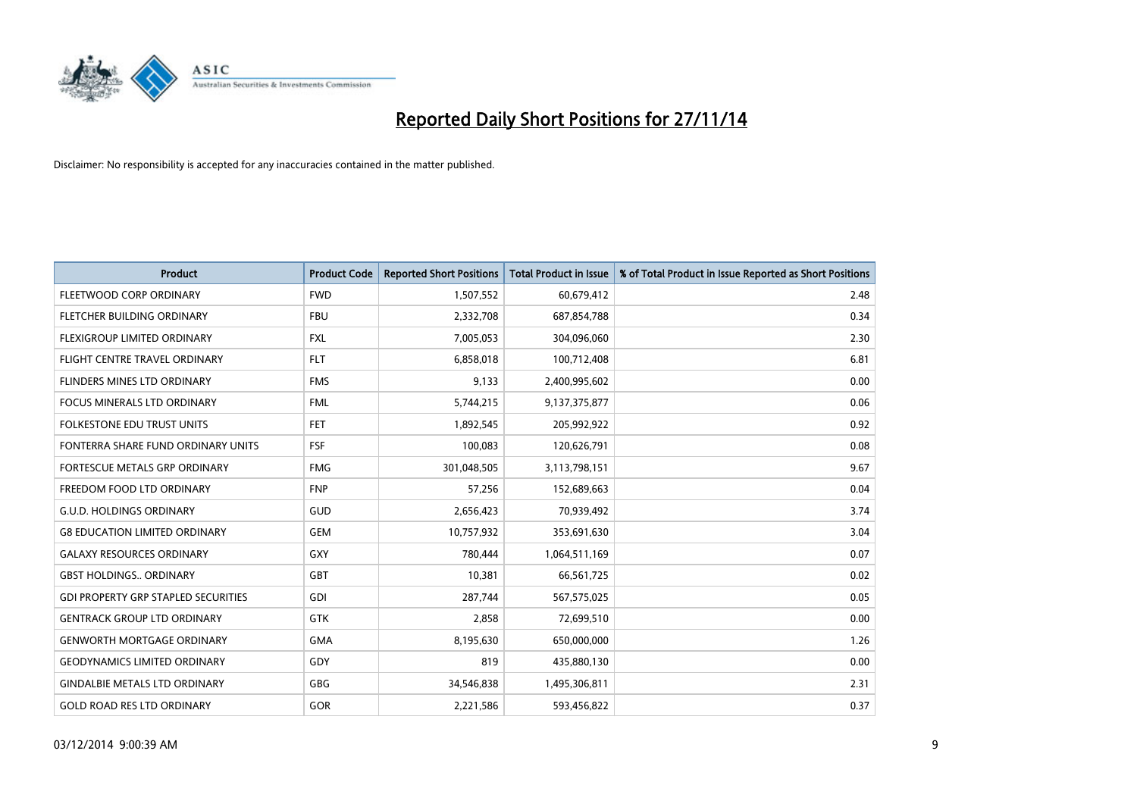

| <b>Product</b>                             | <b>Product Code</b> | <b>Reported Short Positions</b> | <b>Total Product in Issue</b> | % of Total Product in Issue Reported as Short Positions |
|--------------------------------------------|---------------------|---------------------------------|-------------------------------|---------------------------------------------------------|
| FLEETWOOD CORP ORDINARY                    | <b>FWD</b>          | 1,507,552                       | 60,679,412                    | 2.48                                                    |
| FLETCHER BUILDING ORDINARY                 | <b>FBU</b>          | 2,332,708                       | 687,854,788                   | 0.34                                                    |
| FLEXIGROUP LIMITED ORDINARY                | <b>FXL</b>          | 7,005,053                       | 304,096,060                   | 2.30                                                    |
| FLIGHT CENTRE TRAVEL ORDINARY              | <b>FLT</b>          | 6,858,018                       | 100,712,408                   | 6.81                                                    |
| FLINDERS MINES LTD ORDINARY                | <b>FMS</b>          | 9,133                           | 2,400,995,602                 | 0.00                                                    |
| <b>FOCUS MINERALS LTD ORDINARY</b>         | <b>FML</b>          | 5,744,215                       | 9,137,375,877                 | 0.06                                                    |
| <b>FOLKESTONE EDU TRUST UNITS</b>          | FET                 | 1,892,545                       | 205,992,922                   | 0.92                                                    |
| FONTERRA SHARE FUND ORDINARY UNITS         | <b>FSF</b>          | 100,083                         | 120,626,791                   | 0.08                                                    |
| FORTESCUE METALS GRP ORDINARY              | <b>FMG</b>          | 301,048,505                     | 3,113,798,151                 | 9.67                                                    |
| FREEDOM FOOD LTD ORDINARY                  | <b>FNP</b>          | 57,256                          | 152,689,663                   | 0.04                                                    |
| <b>G.U.D. HOLDINGS ORDINARY</b>            | GUD                 | 2,656,423                       | 70,939,492                    | 3.74                                                    |
| <b>G8 EDUCATION LIMITED ORDINARY</b>       | <b>GEM</b>          | 10,757,932                      | 353,691,630                   | 3.04                                                    |
| <b>GALAXY RESOURCES ORDINARY</b>           | GXY                 | 780,444                         | 1,064,511,169                 | 0.07                                                    |
| <b>GBST HOLDINGS., ORDINARY</b>            | GBT                 | 10,381                          | 66,561,725                    | 0.02                                                    |
| <b>GDI PROPERTY GRP STAPLED SECURITIES</b> | GDI                 | 287,744                         | 567,575,025                   | 0.05                                                    |
| <b>GENTRACK GROUP LTD ORDINARY</b>         | GTK                 | 2,858                           | 72,699,510                    | 0.00                                                    |
| <b>GENWORTH MORTGAGE ORDINARY</b>          | <b>GMA</b>          | 8,195,630                       | 650,000,000                   | 1.26                                                    |
| <b>GEODYNAMICS LIMITED ORDINARY</b>        | GDY                 | 819                             | 435,880,130                   | 0.00                                                    |
| <b>GINDALBIE METALS LTD ORDINARY</b>       | GBG                 | 34,546,838                      | 1,495,306,811                 | 2.31                                                    |
| <b>GOLD ROAD RES LTD ORDINARY</b>          | GOR                 | 2,221,586                       | 593,456,822                   | 0.37                                                    |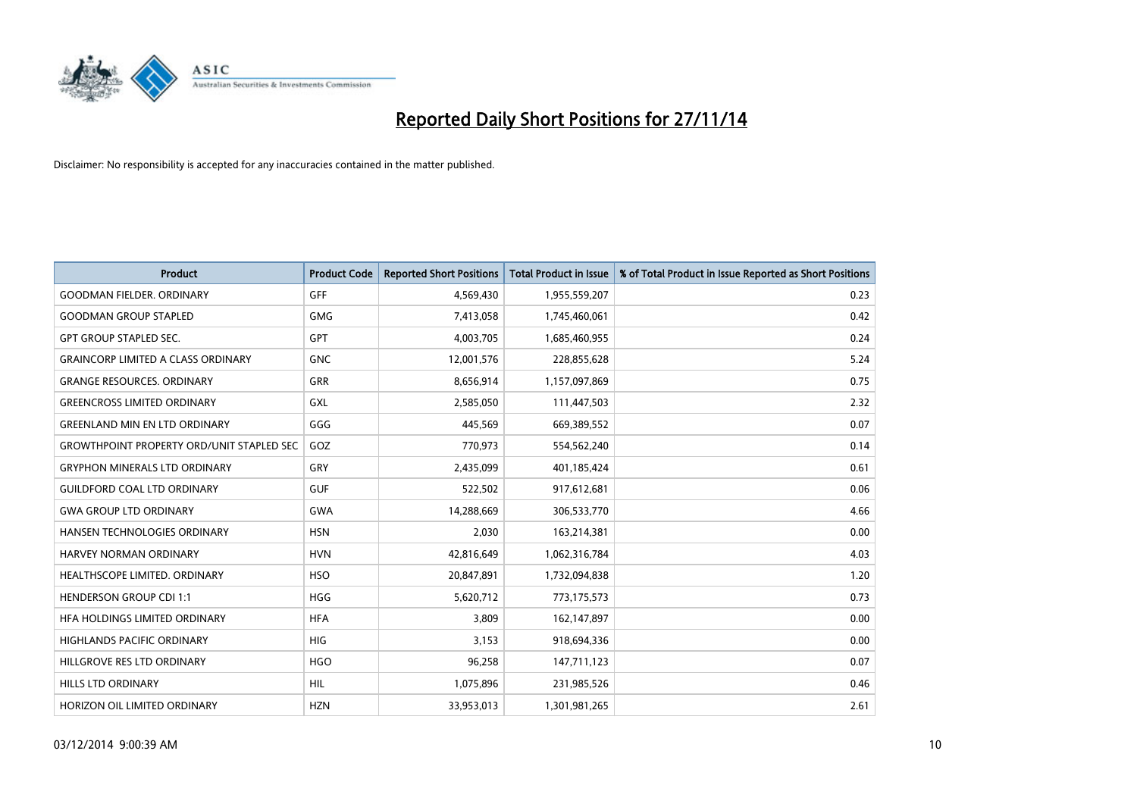

| <b>Product</b>                                   | <b>Product Code</b> | <b>Reported Short Positions</b> | <b>Total Product in Issue</b> | % of Total Product in Issue Reported as Short Positions |
|--------------------------------------------------|---------------------|---------------------------------|-------------------------------|---------------------------------------------------------|
| <b>GOODMAN FIELDER, ORDINARY</b>                 | GFF                 | 4,569,430                       | 1,955,559,207                 | 0.23                                                    |
| <b>GOODMAN GROUP STAPLED</b>                     | GMG                 | 7,413,058                       | 1,745,460,061                 | 0.42                                                    |
| <b>GPT GROUP STAPLED SEC.</b>                    | <b>GPT</b>          | 4,003,705                       | 1,685,460,955                 | 0.24                                                    |
| <b>GRAINCORP LIMITED A CLASS ORDINARY</b>        | <b>GNC</b>          | 12,001,576                      | 228,855,628                   | 5.24                                                    |
| <b>GRANGE RESOURCES, ORDINARY</b>                | GRR                 | 8,656,914                       | 1,157,097,869                 | 0.75                                                    |
| <b>GREENCROSS LIMITED ORDINARY</b>               | <b>GXL</b>          | 2,585,050                       | 111,447,503                   | 2.32                                                    |
| <b>GREENLAND MIN EN LTD ORDINARY</b>             | GGG                 | 445,569                         | 669,389,552                   | 0.07                                                    |
| <b>GROWTHPOINT PROPERTY ORD/UNIT STAPLED SEC</b> | GOZ                 | 770,973                         | 554,562,240                   | 0.14                                                    |
| <b>GRYPHON MINERALS LTD ORDINARY</b>             | GRY                 | 2,435,099                       | 401,185,424                   | 0.61                                                    |
| <b>GUILDFORD COAL LTD ORDINARY</b>               | <b>GUF</b>          | 522,502                         | 917,612,681                   | 0.06                                                    |
| <b>GWA GROUP LTD ORDINARY</b>                    | <b>GWA</b>          | 14,288,669                      | 306,533,770                   | 4.66                                                    |
| HANSEN TECHNOLOGIES ORDINARY                     | <b>HSN</b>          | 2,030                           | 163,214,381                   | 0.00                                                    |
| <b>HARVEY NORMAN ORDINARY</b>                    | <b>HVN</b>          | 42,816,649                      | 1,062,316,784                 | 4.03                                                    |
| HEALTHSCOPE LIMITED. ORDINARY                    | <b>HSO</b>          | 20,847,891                      | 1,732,094,838                 | 1.20                                                    |
| <b>HENDERSON GROUP CDI 1:1</b>                   | <b>HGG</b>          | 5,620,712                       | 773,175,573                   | 0.73                                                    |
| HFA HOLDINGS LIMITED ORDINARY                    | <b>HFA</b>          | 3,809                           | 162,147,897                   | 0.00                                                    |
| <b>HIGHLANDS PACIFIC ORDINARY</b>                | <b>HIG</b>          | 3,153                           | 918,694,336                   | 0.00                                                    |
| HILLGROVE RES LTD ORDINARY                       | <b>HGO</b>          | 96,258                          | 147,711,123                   | 0.07                                                    |
| <b>HILLS LTD ORDINARY</b>                        | <b>HIL</b>          | 1,075,896                       | 231,985,526                   | 0.46                                                    |
| HORIZON OIL LIMITED ORDINARY                     | <b>HZN</b>          | 33,953,013                      | 1,301,981,265                 | 2.61                                                    |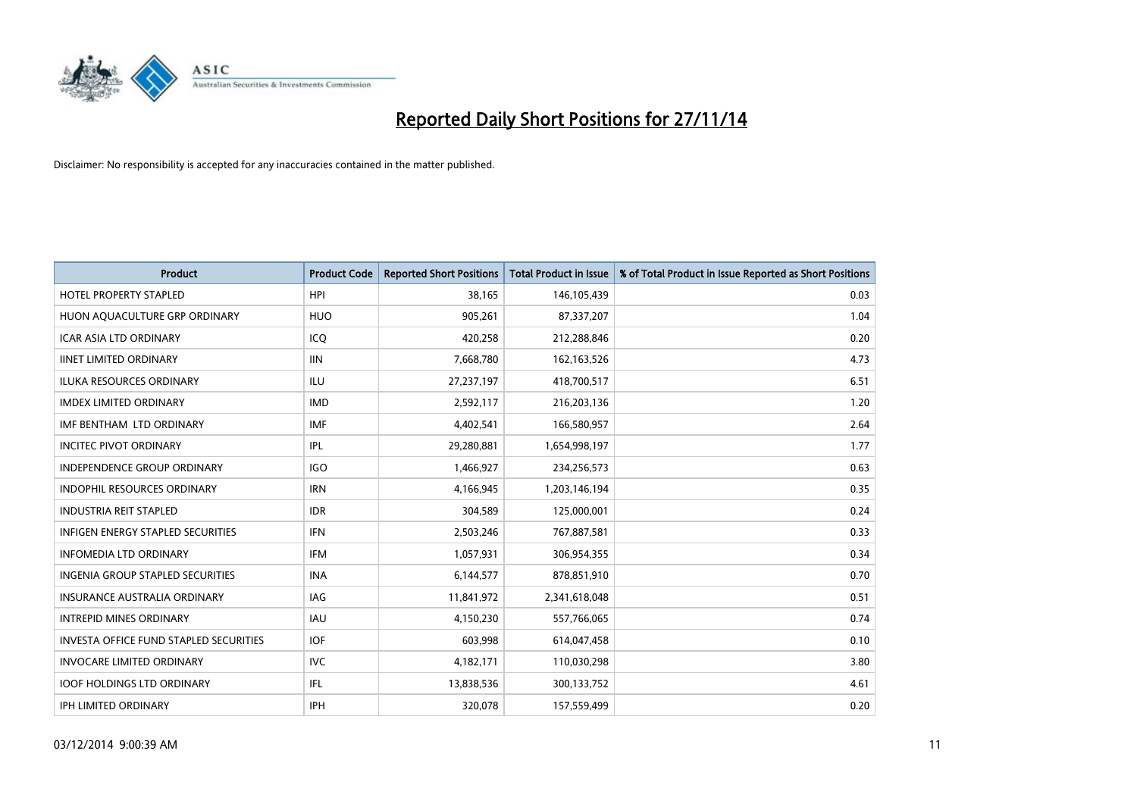

| <b>Product</b>                           | <b>Product Code</b> | <b>Reported Short Positions</b> | <b>Total Product in Issue</b> | % of Total Product in Issue Reported as Short Positions |
|------------------------------------------|---------------------|---------------------------------|-------------------------------|---------------------------------------------------------|
| <b>HOTEL PROPERTY STAPLED</b>            | <b>HPI</b>          | 38.165                          | 146,105,439                   | 0.03                                                    |
| HUON AQUACULTURE GRP ORDINARY            | <b>HUO</b>          | 905,261                         | 87,337,207                    | 1.04                                                    |
| <b>ICAR ASIA LTD ORDINARY</b>            | ICQ                 | 420,258                         | 212,288,846                   | 0.20                                                    |
| <b>IINET LIMITED ORDINARY</b>            | <b>IIN</b>          | 7,668,780                       | 162,163,526                   | 4.73                                                    |
| <b>ILUKA RESOURCES ORDINARY</b>          | ILU                 | 27,237,197                      | 418,700,517                   | 6.51                                                    |
| <b>IMDEX LIMITED ORDINARY</b>            | <b>IMD</b>          | 2,592,117                       | 216,203,136                   | 1.20                                                    |
| IMF BENTHAM LTD ORDINARY                 | <b>IMF</b>          | 4,402,541                       | 166,580,957                   | 2.64                                                    |
| <b>INCITEC PIVOT ORDINARY</b>            | IPL                 | 29,280,881                      | 1,654,998,197                 | 1.77                                                    |
| <b>INDEPENDENCE GROUP ORDINARY</b>       | <b>IGO</b>          | 1,466,927                       | 234,256,573                   | 0.63                                                    |
| <b>INDOPHIL RESOURCES ORDINARY</b>       | <b>IRN</b>          | 4,166,945                       | 1,203,146,194                 | 0.35                                                    |
| <b>INDUSTRIA REIT STAPLED</b>            | <b>IDR</b>          | 304,589                         | 125,000,001                   | 0.24                                                    |
| <b>INFIGEN ENERGY STAPLED SECURITIES</b> | <b>IFN</b>          | 2,503,246                       | 767,887,581                   | 0.33                                                    |
| <b>INFOMEDIA LTD ORDINARY</b>            | <b>IFM</b>          | 1,057,931                       | 306,954,355                   | 0.34                                                    |
| <b>INGENIA GROUP STAPLED SECURITIES</b>  | <b>INA</b>          | 6,144,577                       | 878,851,910                   | 0.70                                                    |
| <b>INSURANCE AUSTRALIA ORDINARY</b>      | IAG                 | 11,841,972                      | 2,341,618,048                 | 0.51                                                    |
| <b>INTREPID MINES ORDINARY</b>           | <b>IAU</b>          | 4,150,230                       | 557,766,065                   | 0.74                                                    |
| INVESTA OFFICE FUND STAPLED SECURITIES   | <b>IOF</b>          | 603,998                         | 614,047,458                   | 0.10                                                    |
| <b>INVOCARE LIMITED ORDINARY</b>         | IVC                 | 4,182,171                       | 110,030,298                   | 3.80                                                    |
| <b>IOOF HOLDINGS LTD ORDINARY</b>        | IFL                 | 13,838,536                      | 300,133,752                   | 4.61                                                    |
| IPH LIMITED ORDINARY                     | <b>IPH</b>          | 320,078                         | 157,559,499                   | 0.20                                                    |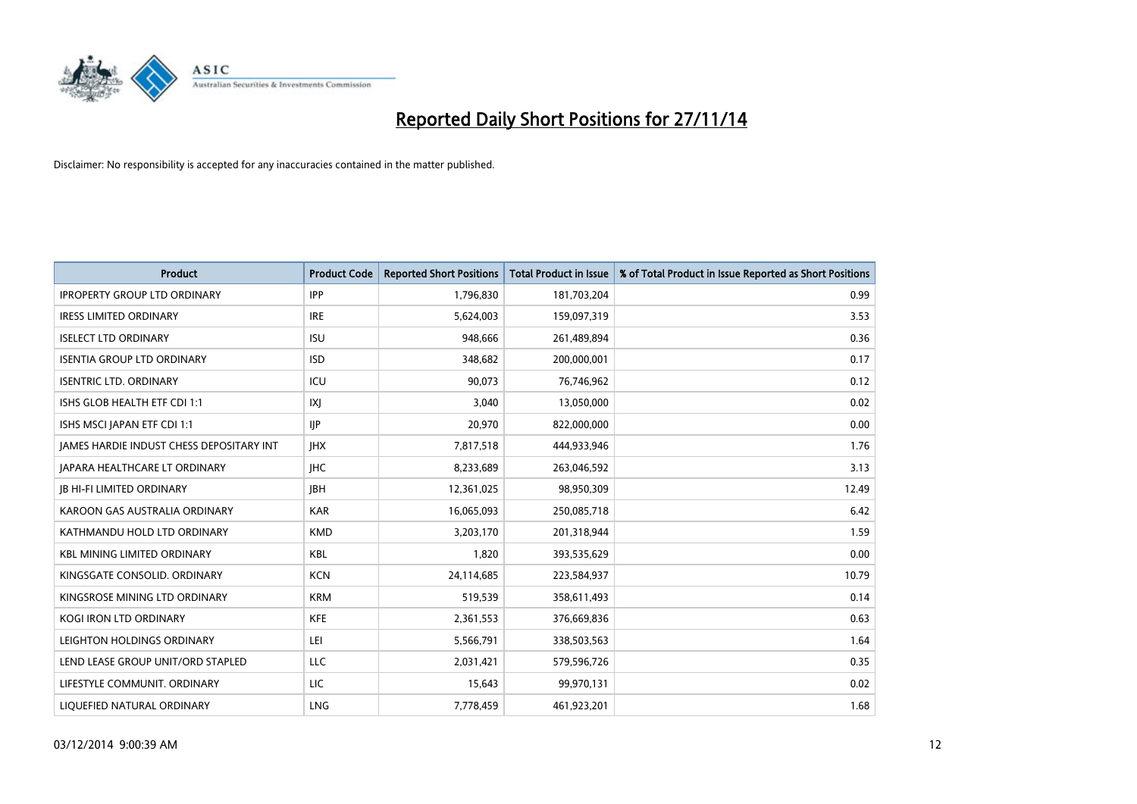

| <b>Product</b>                           | <b>Product Code</b> | <b>Reported Short Positions</b> | <b>Total Product in Issue</b> | % of Total Product in Issue Reported as Short Positions |
|------------------------------------------|---------------------|---------------------------------|-------------------------------|---------------------------------------------------------|
| <b>IPROPERTY GROUP LTD ORDINARY</b>      | <b>IPP</b>          | 1,796,830                       | 181,703,204                   | 0.99                                                    |
| <b>IRESS LIMITED ORDINARY</b>            | <b>IRE</b>          | 5,624,003                       | 159,097,319                   | 3.53                                                    |
| <b>ISELECT LTD ORDINARY</b>              | <b>ISU</b>          | 948,666                         | 261,489,894                   | 0.36                                                    |
| <b>ISENTIA GROUP LTD ORDINARY</b>        | <b>ISD</b>          | 348,682                         | 200,000,001                   | 0.17                                                    |
| <b>ISENTRIC LTD. ORDINARY</b>            | ICU                 | 90,073                          | 76,746,962                    | 0.12                                                    |
| ISHS GLOB HEALTH ETF CDI 1:1             | IXJ                 | 3,040                           | 13,050,000                    | 0.02                                                    |
| ISHS MSCI JAPAN ETF CDI 1:1              | <b>IIP</b>          | 20,970                          | 822,000,000                   | 0.00                                                    |
| JAMES HARDIE INDUST CHESS DEPOSITARY INT | <b>IHX</b>          | 7,817,518                       | 444,933,946                   | 1.76                                                    |
| JAPARA HEALTHCARE LT ORDINARY            | <b>IHC</b>          | 8,233,689                       | 263,046,592                   | 3.13                                                    |
| <b>JB HI-FI LIMITED ORDINARY</b>         | <b>IBH</b>          | 12,361,025                      | 98,950,309                    | 12.49                                                   |
| KAROON GAS AUSTRALIA ORDINARY            | <b>KAR</b>          | 16,065,093                      | 250,085,718                   | 6.42                                                    |
| KATHMANDU HOLD LTD ORDINARY              | <b>KMD</b>          | 3,203,170                       | 201,318,944                   | 1.59                                                    |
| <b>KBL MINING LIMITED ORDINARY</b>       | <b>KBL</b>          | 1,820                           | 393,535,629                   | 0.00                                                    |
| KINGSGATE CONSOLID. ORDINARY             | <b>KCN</b>          | 24,114,685                      | 223,584,937                   | 10.79                                                   |
| KINGSROSE MINING LTD ORDINARY            | <b>KRM</b>          | 519,539                         | 358,611,493                   | 0.14                                                    |
| KOGI IRON LTD ORDINARY                   | KFE                 | 2,361,553                       | 376,669,836                   | 0.63                                                    |
| LEIGHTON HOLDINGS ORDINARY               | LEI                 | 5,566,791                       | 338,503,563                   | 1.64                                                    |
| LEND LEASE GROUP UNIT/ORD STAPLED        | LLC                 | 2,031,421                       | 579,596,726                   | 0.35                                                    |
| LIFESTYLE COMMUNIT, ORDINARY             | LIC                 | 15,643                          | 99,970,131                    | 0.02                                                    |
| LIQUEFIED NATURAL ORDINARY               | <b>LNG</b>          | 7,778,459                       | 461,923,201                   | 1.68                                                    |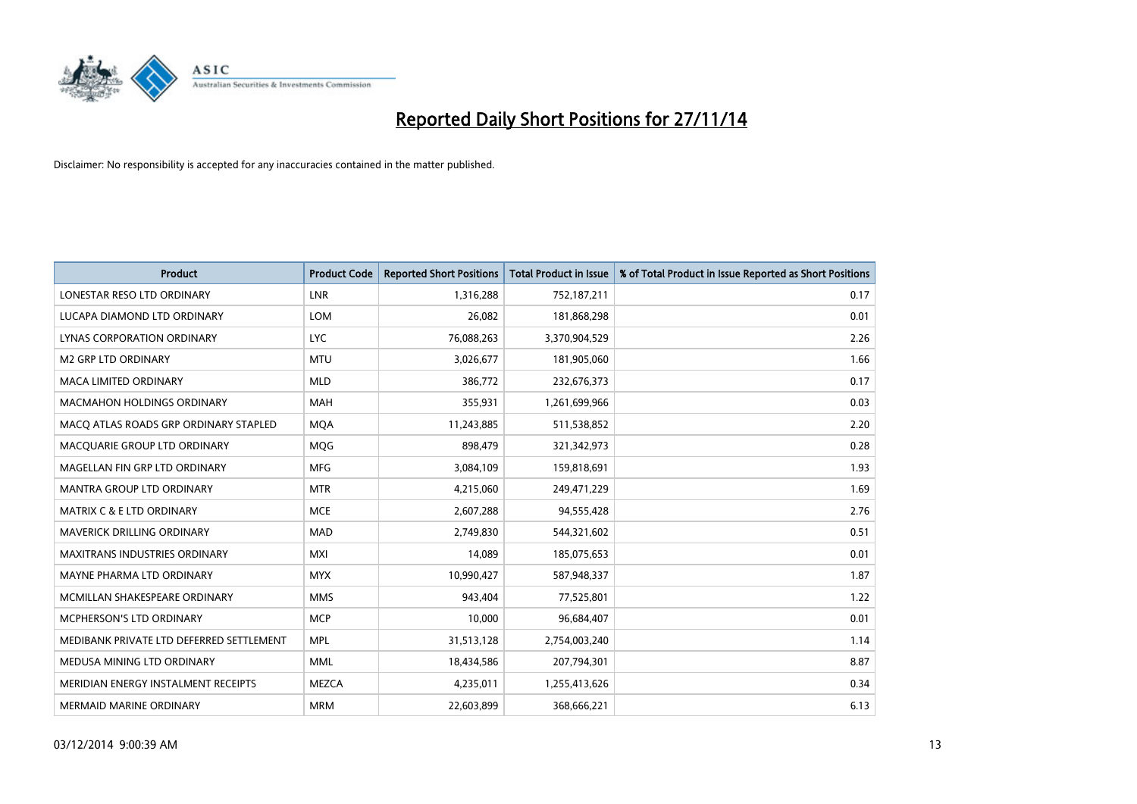

| <b>Product</b>                           | <b>Product Code</b> | <b>Reported Short Positions</b> | <b>Total Product in Issue</b> | % of Total Product in Issue Reported as Short Positions |
|------------------------------------------|---------------------|---------------------------------|-------------------------------|---------------------------------------------------------|
| LONESTAR RESO LTD ORDINARY               | <b>LNR</b>          | 1,316,288                       | 752,187,211                   | 0.17                                                    |
| LUCAPA DIAMOND LTD ORDINARY              | <b>LOM</b>          | 26,082                          | 181,868,298                   | 0.01                                                    |
| <b>LYNAS CORPORATION ORDINARY</b>        | <b>LYC</b>          | 76,088,263                      | 3,370,904,529                 | 2.26                                                    |
| <b>M2 GRP LTD ORDINARY</b>               | <b>MTU</b>          | 3,026,677                       | 181,905,060                   | 1.66                                                    |
| <b>MACA LIMITED ORDINARY</b>             | <b>MLD</b>          | 386,772                         | 232,676,373                   | 0.17                                                    |
| <b>MACMAHON HOLDINGS ORDINARY</b>        | <b>MAH</b>          | 355,931                         | 1,261,699,966                 | 0.03                                                    |
| MACO ATLAS ROADS GRP ORDINARY STAPLED    | <b>MOA</b>          | 11,243,885                      | 511,538,852                   | 2.20                                                    |
| MACQUARIE GROUP LTD ORDINARY             | <b>MQG</b>          | 898,479                         | 321,342,973                   | 0.28                                                    |
| MAGELLAN FIN GRP LTD ORDINARY            | <b>MFG</b>          | 3,084,109                       | 159,818,691                   | 1.93                                                    |
| <b>MANTRA GROUP LTD ORDINARY</b>         | <b>MTR</b>          | 4,215,060                       | 249,471,229                   | 1.69                                                    |
| <b>MATRIX C &amp; E LTD ORDINARY</b>     | <b>MCE</b>          | 2,607,288                       | 94,555,428                    | 2.76                                                    |
| <b>MAVERICK DRILLING ORDINARY</b>        | <b>MAD</b>          | 2,749,830                       | 544,321,602                   | 0.51                                                    |
| <b>MAXITRANS INDUSTRIES ORDINARY</b>     | <b>MXI</b>          | 14,089                          | 185,075,653                   | 0.01                                                    |
| MAYNE PHARMA LTD ORDINARY                | <b>MYX</b>          | 10,990,427                      | 587,948,337                   | 1.87                                                    |
| MCMILLAN SHAKESPEARE ORDINARY            | <b>MMS</b>          | 943,404                         | 77,525,801                    | 1.22                                                    |
| MCPHERSON'S LTD ORDINARY                 | <b>MCP</b>          | 10,000                          | 96,684,407                    | 0.01                                                    |
| MEDIBANK PRIVATE LTD DEFERRED SETTLEMENT | <b>MPL</b>          | 31,513,128                      | 2,754,003,240                 | 1.14                                                    |
| MEDUSA MINING LTD ORDINARY               | <b>MML</b>          | 18,434,586                      | 207,794,301                   | 8.87                                                    |
| MERIDIAN ENERGY INSTALMENT RECEIPTS      | <b>MEZCA</b>        | 4,235,011                       | 1,255,413,626                 | 0.34                                                    |
| <b>MERMAID MARINE ORDINARY</b>           | <b>MRM</b>          | 22,603,899                      | 368,666,221                   | 6.13                                                    |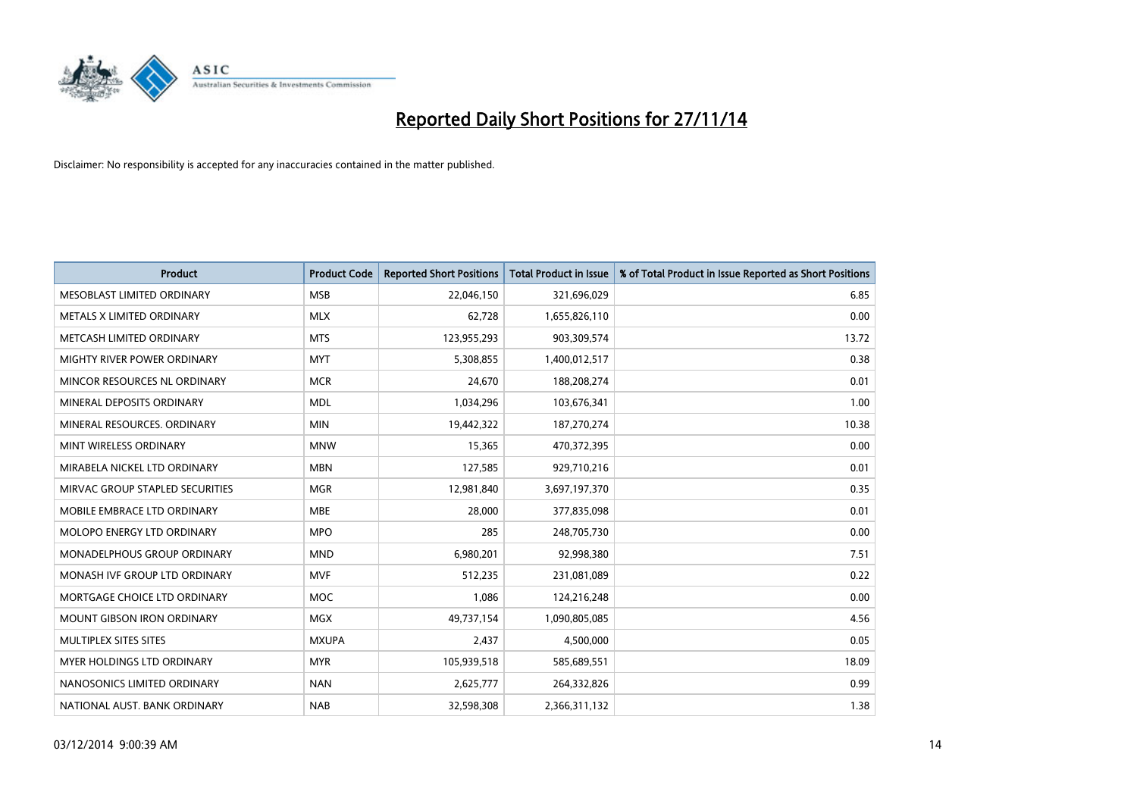

| <b>Product</b>                    | <b>Product Code</b> | <b>Reported Short Positions</b> | <b>Total Product in Issue</b> | % of Total Product in Issue Reported as Short Positions |
|-----------------------------------|---------------------|---------------------------------|-------------------------------|---------------------------------------------------------|
| MESOBLAST LIMITED ORDINARY        | <b>MSB</b>          | 22,046,150                      | 321,696,029                   | 6.85                                                    |
| METALS X LIMITED ORDINARY         | <b>MLX</b>          | 62,728                          | 1,655,826,110                 | 0.00                                                    |
| METCASH LIMITED ORDINARY          | <b>MTS</b>          | 123,955,293                     | 903,309,574                   | 13.72                                                   |
| MIGHTY RIVER POWER ORDINARY       | <b>MYT</b>          | 5,308,855                       | 1,400,012,517                 | 0.38                                                    |
| MINCOR RESOURCES NL ORDINARY      | <b>MCR</b>          | 24,670                          | 188,208,274                   | 0.01                                                    |
| MINERAL DEPOSITS ORDINARY         | <b>MDL</b>          | 1,034,296                       | 103,676,341                   | 1.00                                                    |
| MINERAL RESOURCES, ORDINARY       | <b>MIN</b>          | 19,442,322                      | 187,270,274                   | 10.38                                                   |
| MINT WIRELESS ORDINARY            | <b>MNW</b>          | 15,365                          | 470,372,395                   | 0.00                                                    |
| MIRABELA NICKEL LTD ORDINARY      | <b>MBN</b>          | 127,585                         | 929,710,216                   | 0.01                                                    |
| MIRVAC GROUP STAPLED SECURITIES   | <b>MGR</b>          | 12,981,840                      | 3,697,197,370                 | 0.35                                                    |
| MOBILE EMBRACE LTD ORDINARY       | <b>MBE</b>          | 28,000                          | 377,835,098                   | 0.01                                                    |
| <b>MOLOPO ENERGY LTD ORDINARY</b> | <b>MPO</b>          | 285                             | 248,705,730                   | 0.00                                                    |
| MONADELPHOUS GROUP ORDINARY       | <b>MND</b>          | 6,980,201                       | 92,998,380                    | 7.51                                                    |
| MONASH IVF GROUP LTD ORDINARY     | MVF                 | 512,235                         | 231,081,089                   | 0.22                                                    |
| MORTGAGE CHOICE LTD ORDINARY      | <b>MOC</b>          | 1,086                           | 124,216,248                   | 0.00                                                    |
| MOUNT GIBSON IRON ORDINARY        | MGX                 | 49,737,154                      | 1,090,805,085                 | 4.56                                                    |
| MULTIPLEX SITES SITES             | <b>MXUPA</b>        | 2,437                           | 4,500,000                     | 0.05                                                    |
| <b>MYER HOLDINGS LTD ORDINARY</b> | <b>MYR</b>          | 105,939,518                     | 585,689,551                   | 18.09                                                   |
| NANOSONICS LIMITED ORDINARY       | <b>NAN</b>          | 2,625,777                       | 264,332,826                   | 0.99                                                    |
| NATIONAL AUST. BANK ORDINARY      | <b>NAB</b>          | 32,598,308                      | 2,366,311,132                 | 1.38                                                    |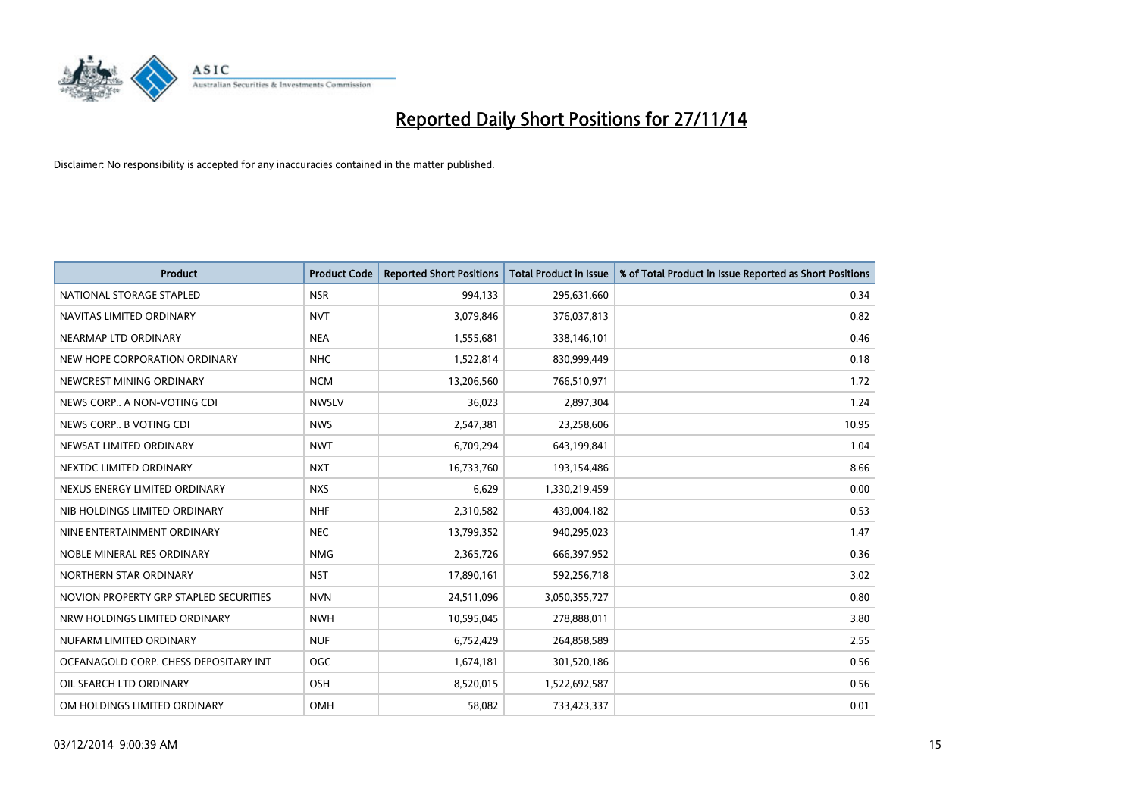

| <b>Product</b>                         | <b>Product Code</b> | <b>Reported Short Positions</b> | <b>Total Product in Issue</b> | % of Total Product in Issue Reported as Short Positions |
|----------------------------------------|---------------------|---------------------------------|-------------------------------|---------------------------------------------------------|
| NATIONAL STORAGE STAPLED               | <b>NSR</b>          | 994,133                         | 295,631,660                   | 0.34                                                    |
| NAVITAS LIMITED ORDINARY               | <b>NVT</b>          | 3,079,846                       | 376,037,813                   | 0.82                                                    |
| NEARMAP LTD ORDINARY                   | <b>NEA</b>          | 1,555,681                       | 338,146,101                   | 0.46                                                    |
| NEW HOPE CORPORATION ORDINARY          | <b>NHC</b>          | 1,522,814                       | 830,999,449                   | 0.18                                                    |
| NEWCREST MINING ORDINARY               | <b>NCM</b>          | 13,206,560                      | 766,510,971                   | 1.72                                                    |
| NEWS CORP A NON-VOTING CDI             | <b>NWSLV</b>        | 36,023                          | 2,897,304                     | 1.24                                                    |
| NEWS CORP B VOTING CDI                 | <b>NWS</b>          | 2,547,381                       | 23,258,606                    | 10.95                                                   |
| NEWSAT LIMITED ORDINARY                | <b>NWT</b>          | 6,709,294                       | 643,199,841                   | 1.04                                                    |
| NEXTDC LIMITED ORDINARY                | <b>NXT</b>          | 16,733,760                      | 193,154,486                   | 8.66                                                    |
| NEXUS ENERGY LIMITED ORDINARY          | <b>NXS</b>          | 6,629                           | 1,330,219,459                 | 0.00                                                    |
| NIB HOLDINGS LIMITED ORDINARY          | <b>NHF</b>          | 2,310,582                       | 439,004,182                   | 0.53                                                    |
| NINE ENTERTAINMENT ORDINARY            | <b>NEC</b>          | 13,799,352                      | 940,295,023                   | 1.47                                                    |
| NOBLE MINERAL RES ORDINARY             | <b>NMG</b>          | 2,365,726                       | 666,397,952                   | 0.36                                                    |
| NORTHERN STAR ORDINARY                 | <b>NST</b>          | 17,890,161                      | 592,256,718                   | 3.02                                                    |
| NOVION PROPERTY GRP STAPLED SECURITIES | <b>NVN</b>          | 24,511,096                      | 3,050,355,727                 | 0.80                                                    |
| NRW HOLDINGS LIMITED ORDINARY          | <b>NWH</b>          | 10,595,045                      | 278,888,011                   | 3.80                                                    |
| NUFARM LIMITED ORDINARY                | <b>NUF</b>          | 6,752,429                       | 264,858,589                   | 2.55                                                    |
| OCEANAGOLD CORP. CHESS DEPOSITARY INT  | <b>OGC</b>          | 1,674,181                       | 301,520,186                   | 0.56                                                    |
| OIL SEARCH LTD ORDINARY                | OSH                 | 8,520,015                       | 1,522,692,587                 | 0.56                                                    |
| OM HOLDINGS LIMITED ORDINARY           | <b>OMH</b>          | 58,082                          | 733,423,337                   | 0.01                                                    |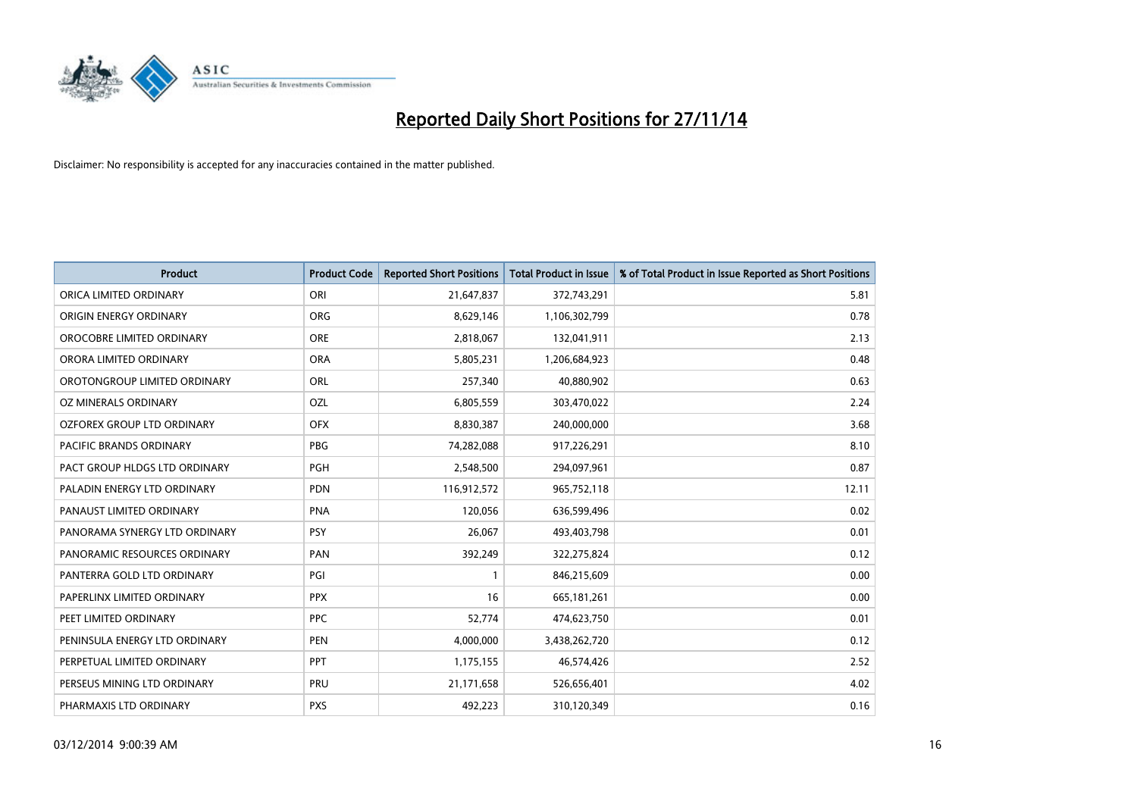

| <b>Product</b>                | <b>Product Code</b> | <b>Reported Short Positions</b> | <b>Total Product in Issue</b> | % of Total Product in Issue Reported as Short Positions |
|-------------------------------|---------------------|---------------------------------|-------------------------------|---------------------------------------------------------|
| ORICA LIMITED ORDINARY        | ORI                 | 21,647,837                      | 372,743,291                   | 5.81                                                    |
| ORIGIN ENERGY ORDINARY        | <b>ORG</b>          | 8,629,146                       | 1,106,302,799                 | 0.78                                                    |
| OROCOBRE LIMITED ORDINARY     | <b>ORE</b>          | 2,818,067                       | 132,041,911                   | 2.13                                                    |
| ORORA LIMITED ORDINARY        | <b>ORA</b>          | 5,805,231                       | 1,206,684,923                 | 0.48                                                    |
| OROTONGROUP LIMITED ORDINARY  | ORL                 | 257,340                         | 40,880,902                    | 0.63                                                    |
| OZ MINERALS ORDINARY          | OZL                 | 6,805,559                       | 303,470,022                   | 2.24                                                    |
| OZFOREX GROUP LTD ORDINARY    | <b>OFX</b>          | 8,830,387                       | 240,000,000                   | 3.68                                                    |
| PACIFIC BRANDS ORDINARY       | <b>PBG</b>          | 74,282,088                      | 917,226,291                   | 8.10                                                    |
| PACT GROUP HLDGS LTD ORDINARY | <b>PGH</b>          | 2,548,500                       | 294,097,961                   | 0.87                                                    |
| PALADIN ENERGY LTD ORDINARY   | <b>PDN</b>          | 116,912,572                     | 965,752,118                   | 12.11                                                   |
| PANAUST LIMITED ORDINARY      | <b>PNA</b>          | 120,056                         | 636,599,496                   | 0.02                                                    |
| PANORAMA SYNERGY LTD ORDINARY | <b>PSY</b>          | 26,067                          | 493,403,798                   | 0.01                                                    |
| PANORAMIC RESOURCES ORDINARY  | PAN                 | 392,249                         | 322,275,824                   | 0.12                                                    |
| PANTERRA GOLD LTD ORDINARY    | PGI                 | $\mathbf{1}$                    | 846,215,609                   | 0.00                                                    |
| PAPERLINX LIMITED ORDINARY    | <b>PPX</b>          | 16                              | 665, 181, 261                 | 0.00                                                    |
| PEET LIMITED ORDINARY         | <b>PPC</b>          | 52,774                          | 474,623,750                   | 0.01                                                    |
| PENINSULA ENERGY LTD ORDINARY | <b>PEN</b>          | 4,000,000                       | 3,438,262,720                 | 0.12                                                    |
| PERPETUAL LIMITED ORDINARY    | PPT                 | 1,175,155                       | 46,574,426                    | 2.52                                                    |
| PERSEUS MINING LTD ORDINARY   | <b>PRU</b>          | 21,171,658                      | 526,656,401                   | 4.02                                                    |
| PHARMAXIS LTD ORDINARY        | <b>PXS</b>          | 492,223                         | 310,120,349                   | 0.16                                                    |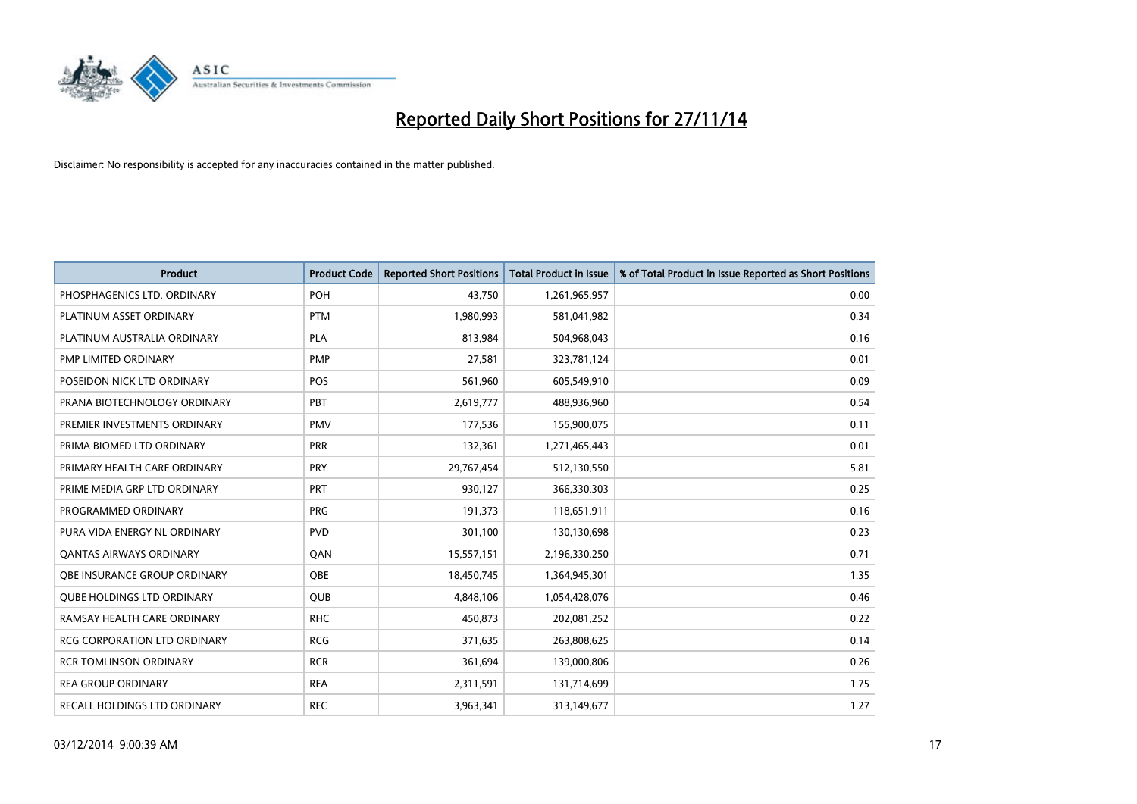

| <b>Product</b>                    | <b>Product Code</b> | <b>Reported Short Positions</b> | Total Product in Issue | % of Total Product in Issue Reported as Short Positions |
|-----------------------------------|---------------------|---------------------------------|------------------------|---------------------------------------------------------|
| PHOSPHAGENICS LTD. ORDINARY       | <b>POH</b>          | 43.750                          | 1,261,965,957          | 0.00                                                    |
| PLATINUM ASSET ORDINARY           | <b>PTM</b>          | 1,980,993                       | 581,041,982            | 0.34                                                    |
| PLATINUM AUSTRALIA ORDINARY       | <b>PLA</b>          | 813,984                         | 504,968,043            | 0.16                                                    |
| PMP LIMITED ORDINARY              | <b>PMP</b>          | 27,581                          | 323,781,124            | 0.01                                                    |
| POSEIDON NICK LTD ORDINARY        | <b>POS</b>          | 561,960                         | 605,549,910            | 0.09                                                    |
| PRANA BIOTECHNOLOGY ORDINARY      | <b>PBT</b>          | 2,619,777                       | 488,936,960            | 0.54                                                    |
| PREMIER INVESTMENTS ORDINARY      | <b>PMV</b>          | 177,536                         | 155,900,075            | 0.11                                                    |
| PRIMA BIOMED LTD ORDINARY         | <b>PRR</b>          | 132,361                         | 1,271,465,443          | 0.01                                                    |
| PRIMARY HEALTH CARE ORDINARY      | <b>PRY</b>          | 29,767,454                      | 512,130,550            | 5.81                                                    |
| PRIME MEDIA GRP LTD ORDINARY      | <b>PRT</b>          | 930,127                         | 366,330,303            | 0.25                                                    |
| PROGRAMMED ORDINARY               | <b>PRG</b>          | 191,373                         | 118,651,911            | 0.16                                                    |
| PURA VIDA ENERGY NL ORDINARY      | <b>PVD</b>          | 301,100                         | 130,130,698            | 0.23                                                    |
| <b>QANTAS AIRWAYS ORDINARY</b>    | QAN                 | 15,557,151                      | 2,196,330,250          | 0.71                                                    |
| OBE INSURANCE GROUP ORDINARY      | <b>OBE</b>          | 18,450,745                      | 1,364,945,301          | 1.35                                                    |
| <b>QUBE HOLDINGS LTD ORDINARY</b> | <b>QUB</b>          | 4,848,106                       | 1,054,428,076          | 0.46                                                    |
| RAMSAY HEALTH CARE ORDINARY       | <b>RHC</b>          | 450,873                         | 202,081,252            | 0.22                                                    |
| RCG CORPORATION LTD ORDINARY      | <b>RCG</b>          | 371,635                         | 263,808,625            | 0.14                                                    |
| <b>RCR TOMLINSON ORDINARY</b>     | <b>RCR</b>          | 361,694                         | 139,000,806            | 0.26                                                    |
| <b>REA GROUP ORDINARY</b>         | <b>REA</b>          | 2,311,591                       | 131,714,699            | 1.75                                                    |
| RECALL HOLDINGS LTD ORDINARY      | <b>REC</b>          | 3,963,341                       | 313,149,677            | 1.27                                                    |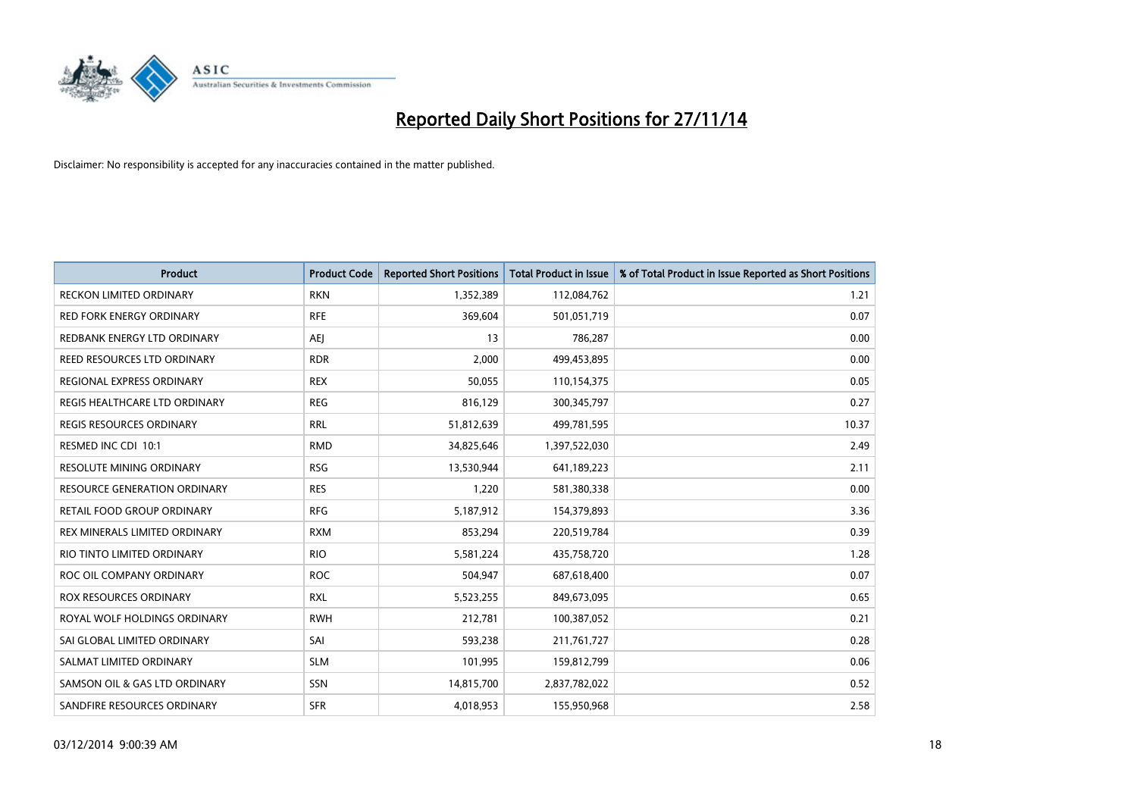

| <b>Product</b>                      | <b>Product Code</b> | <b>Reported Short Positions</b> | <b>Total Product in Issue</b> | % of Total Product in Issue Reported as Short Positions |
|-------------------------------------|---------------------|---------------------------------|-------------------------------|---------------------------------------------------------|
| <b>RECKON LIMITED ORDINARY</b>      | <b>RKN</b>          | 1,352,389                       | 112,084,762                   | 1.21                                                    |
| <b>RED FORK ENERGY ORDINARY</b>     | <b>RFE</b>          | 369,604                         | 501,051,719                   | 0.07                                                    |
| REDBANK ENERGY LTD ORDINARY         | AEJ                 | 13                              | 786,287                       | 0.00                                                    |
| REED RESOURCES LTD ORDINARY         | <b>RDR</b>          | 2,000                           | 499,453,895                   | 0.00                                                    |
| REGIONAL EXPRESS ORDINARY           | <b>REX</b>          | 50,055                          | 110,154,375                   | 0.05                                                    |
| REGIS HEALTHCARE LTD ORDINARY       | <b>REG</b>          | 816,129                         | 300,345,797                   | 0.27                                                    |
| REGIS RESOURCES ORDINARY            | <b>RRL</b>          | 51,812,639                      | 499,781,595                   | 10.37                                                   |
| RESMED INC CDI 10:1                 | <b>RMD</b>          | 34,825,646                      | 1,397,522,030                 | 2.49                                                    |
| <b>RESOLUTE MINING ORDINARY</b>     | <b>RSG</b>          | 13,530,944                      | 641,189,223                   | 2.11                                                    |
| <b>RESOURCE GENERATION ORDINARY</b> | <b>RES</b>          | 1,220                           | 581,380,338                   | 0.00                                                    |
| RETAIL FOOD GROUP ORDINARY          | <b>RFG</b>          | 5,187,912                       | 154,379,893                   | 3.36                                                    |
| REX MINERALS LIMITED ORDINARY       | <b>RXM</b>          | 853,294                         | 220,519,784                   | 0.39                                                    |
| RIO TINTO LIMITED ORDINARY          | <b>RIO</b>          | 5,581,224                       | 435,758,720                   | 1.28                                                    |
| ROC OIL COMPANY ORDINARY            | <b>ROC</b>          | 504,947                         | 687,618,400                   | 0.07                                                    |
| <b>ROX RESOURCES ORDINARY</b>       | <b>RXL</b>          | 5,523,255                       | 849,673,095                   | 0.65                                                    |
| ROYAL WOLF HOLDINGS ORDINARY        | <b>RWH</b>          | 212,781                         | 100,387,052                   | 0.21                                                    |
| SAI GLOBAL LIMITED ORDINARY         | SAI                 | 593,238                         | 211,761,727                   | 0.28                                                    |
| SALMAT LIMITED ORDINARY             | <b>SLM</b>          | 101,995                         | 159,812,799                   | 0.06                                                    |
| SAMSON OIL & GAS LTD ORDINARY       | SSN                 | 14,815,700                      | 2,837,782,022                 | 0.52                                                    |
| SANDFIRE RESOURCES ORDINARY         | <b>SFR</b>          | 4,018,953                       | 155,950,968                   | 2.58                                                    |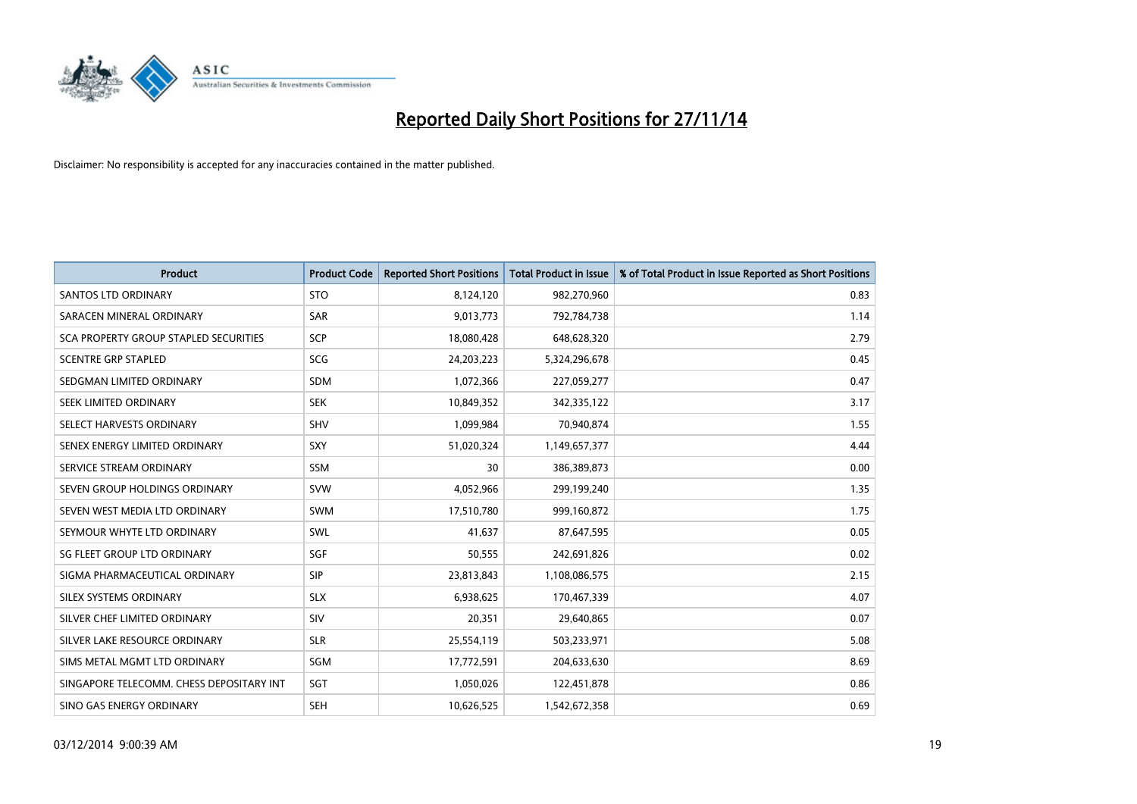

| <b>Product</b>                           | <b>Product Code</b> | <b>Reported Short Positions</b> | <b>Total Product in Issue</b> | % of Total Product in Issue Reported as Short Positions |
|------------------------------------------|---------------------|---------------------------------|-------------------------------|---------------------------------------------------------|
| <b>SANTOS LTD ORDINARY</b>               | <b>STO</b>          | 8,124,120                       | 982,270,960                   | 0.83                                                    |
| SARACEN MINERAL ORDINARY                 | SAR                 | 9,013,773                       | 792,784,738                   | 1.14                                                    |
| SCA PROPERTY GROUP STAPLED SECURITIES    | <b>SCP</b>          | 18,080,428                      | 648,628,320                   | 2.79                                                    |
| <b>SCENTRE GRP STAPLED</b>               | SCG                 | 24,203,223                      | 5,324,296,678                 | 0.45                                                    |
| SEDGMAN LIMITED ORDINARY                 | <b>SDM</b>          | 1,072,366                       | 227,059,277                   | 0.47                                                    |
| SEEK LIMITED ORDINARY                    | <b>SEK</b>          | 10,849,352                      | 342,335,122                   | 3.17                                                    |
| SELECT HARVESTS ORDINARY                 | <b>SHV</b>          | 1,099,984                       | 70,940,874                    | 1.55                                                    |
| SENEX ENERGY LIMITED ORDINARY            | SXY                 | 51,020,324                      | 1,149,657,377                 | 4.44                                                    |
| SERVICE STREAM ORDINARY                  | <b>SSM</b>          | 30                              | 386,389,873                   | 0.00                                                    |
| SEVEN GROUP HOLDINGS ORDINARY            | <b>SVW</b>          | 4,052,966                       | 299,199,240                   | 1.35                                                    |
| SEVEN WEST MEDIA LTD ORDINARY            | SWM                 | 17,510,780                      | 999,160,872                   | 1.75                                                    |
| SEYMOUR WHYTE LTD ORDINARY               | <b>SWL</b>          | 41,637                          | 87,647,595                    | 0.05                                                    |
| SG FLEET GROUP LTD ORDINARY              | SGF                 | 50,555                          | 242,691,826                   | 0.02                                                    |
| SIGMA PHARMACEUTICAL ORDINARY            | <b>SIP</b>          | 23,813,843                      | 1,108,086,575                 | 2.15                                                    |
| SILEX SYSTEMS ORDINARY                   | <b>SLX</b>          | 6,938,625                       | 170,467,339                   | 4.07                                                    |
| SILVER CHEF LIMITED ORDINARY             | SIV                 | 20,351                          | 29,640,865                    | 0.07                                                    |
| SILVER LAKE RESOURCE ORDINARY            | <b>SLR</b>          | 25,554,119                      | 503,233,971                   | 5.08                                                    |
| SIMS METAL MGMT LTD ORDINARY             | SGM                 | 17,772,591                      | 204,633,630                   | 8.69                                                    |
| SINGAPORE TELECOMM. CHESS DEPOSITARY INT | SGT                 | 1,050,026                       | 122,451,878                   | 0.86                                                    |
| SINO GAS ENERGY ORDINARY                 | <b>SEH</b>          | 10,626,525                      | 1,542,672,358                 | 0.69                                                    |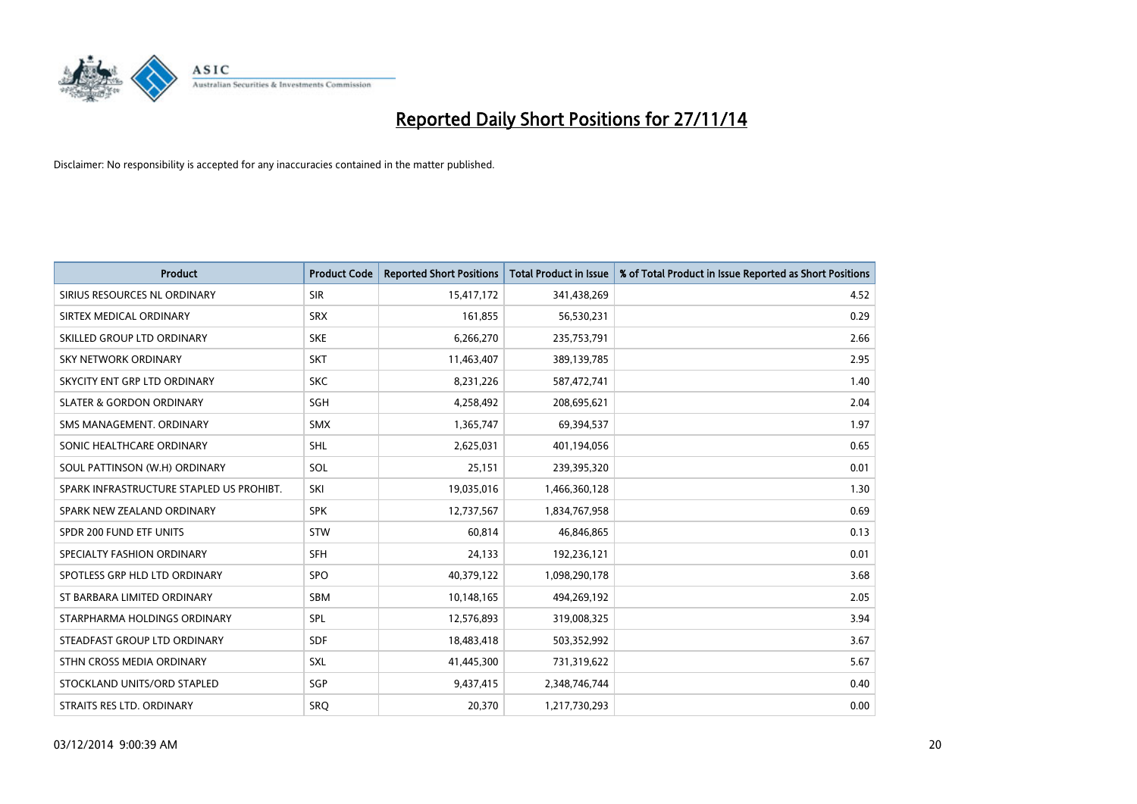

| <b>Product</b>                           | <b>Product Code</b> | <b>Reported Short Positions</b> | <b>Total Product in Issue</b> | % of Total Product in Issue Reported as Short Positions |
|------------------------------------------|---------------------|---------------------------------|-------------------------------|---------------------------------------------------------|
| SIRIUS RESOURCES NL ORDINARY             | <b>SIR</b>          | 15,417,172                      | 341,438,269                   | 4.52                                                    |
| SIRTEX MEDICAL ORDINARY                  | <b>SRX</b>          | 161,855                         | 56,530,231                    | 0.29                                                    |
| SKILLED GROUP LTD ORDINARY               | <b>SKE</b>          | 6,266,270                       | 235,753,791                   | 2.66                                                    |
| SKY NETWORK ORDINARY                     | <b>SKT</b>          | 11,463,407                      | 389,139,785                   | 2.95                                                    |
| SKYCITY ENT GRP LTD ORDINARY             | <b>SKC</b>          | 8,231,226                       | 587,472,741                   | 1.40                                                    |
| <b>SLATER &amp; GORDON ORDINARY</b>      | SGH                 | 4,258,492                       | 208,695,621                   | 2.04                                                    |
| SMS MANAGEMENT, ORDINARY                 | <b>SMX</b>          | 1,365,747                       | 69,394,537                    | 1.97                                                    |
| SONIC HEALTHCARE ORDINARY                | SHL                 | 2,625,031                       | 401,194,056                   | 0.65                                                    |
| SOUL PATTINSON (W.H) ORDINARY            | SOL                 | 25,151                          | 239,395,320                   | 0.01                                                    |
| SPARK INFRASTRUCTURE STAPLED US PROHIBT. | SKI                 | 19,035,016                      | 1,466,360,128                 | 1.30                                                    |
| SPARK NEW ZEALAND ORDINARY               | <b>SPK</b>          | 12,737,567                      | 1,834,767,958                 | 0.69                                                    |
| SPDR 200 FUND ETF UNITS                  | <b>STW</b>          | 60,814                          | 46,846,865                    | 0.13                                                    |
| SPECIALTY FASHION ORDINARY               | <b>SFH</b>          | 24,133                          | 192,236,121                   | 0.01                                                    |
| SPOTLESS GRP HLD LTD ORDINARY            | SPO                 | 40,379,122                      | 1,098,290,178                 | 3.68                                                    |
| ST BARBARA LIMITED ORDINARY              | <b>SBM</b>          | 10,148,165                      | 494,269,192                   | 2.05                                                    |
| STARPHARMA HOLDINGS ORDINARY             | SPL                 | 12,576,893                      | 319,008,325                   | 3.94                                                    |
| STEADFAST GROUP LTD ORDINARY             | SDF                 | 18,483,418                      | 503,352,992                   | 3.67                                                    |
| STHN CROSS MEDIA ORDINARY                | <b>SXL</b>          | 41,445,300                      | 731,319,622                   | 5.67                                                    |
| STOCKLAND UNITS/ORD STAPLED              | SGP                 | 9,437,415                       | 2,348,746,744                 | 0.40                                                    |
| STRAITS RES LTD. ORDINARY                | <b>SRO</b>          | 20,370                          | 1,217,730,293                 | 0.00                                                    |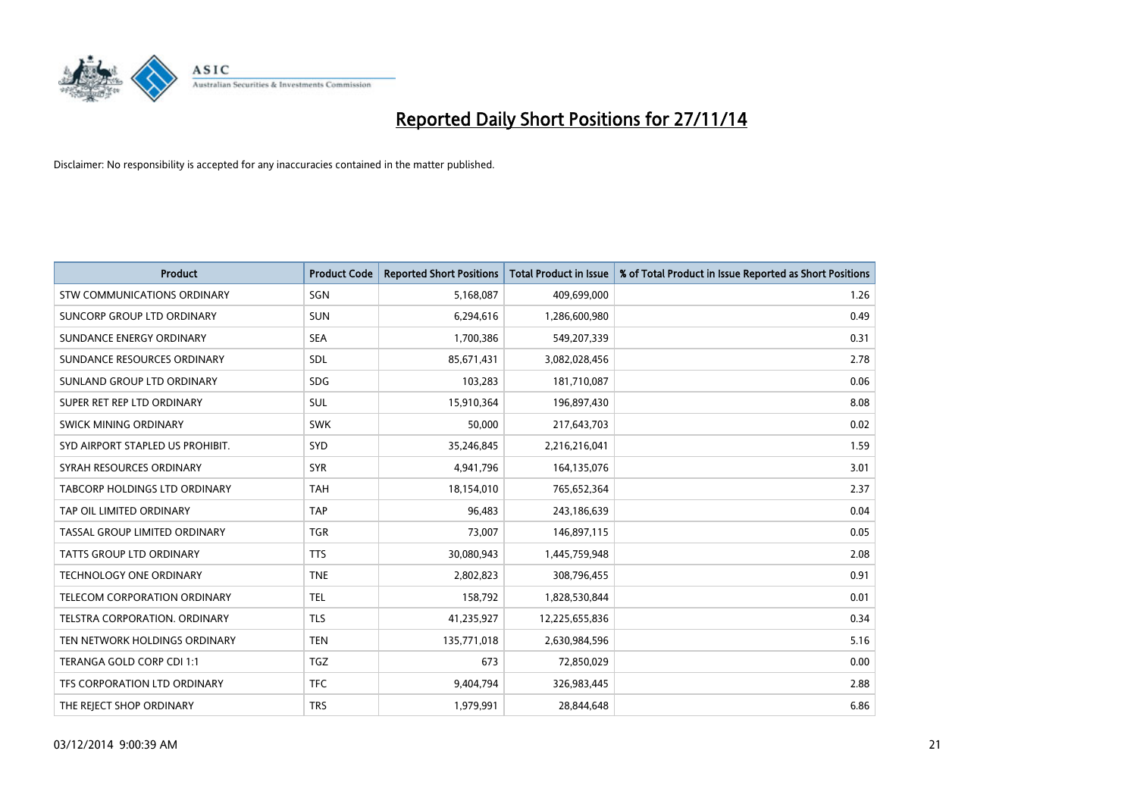

| <b>Product</b>                     | <b>Product Code</b> | <b>Reported Short Positions</b> | <b>Total Product in Issue</b> | % of Total Product in Issue Reported as Short Positions |
|------------------------------------|---------------------|---------------------------------|-------------------------------|---------------------------------------------------------|
| <b>STW COMMUNICATIONS ORDINARY</b> | SGN                 | 5,168,087                       | 409,699,000                   | 1.26                                                    |
| SUNCORP GROUP LTD ORDINARY         | <b>SUN</b>          | 6,294,616                       | 1,286,600,980                 | 0.49                                                    |
| SUNDANCE ENERGY ORDINARY           | <b>SEA</b>          | 1,700,386                       | 549,207,339                   | 0.31                                                    |
| SUNDANCE RESOURCES ORDINARY        | <b>SDL</b>          | 85,671,431                      | 3,082,028,456                 | 2.78                                                    |
| SUNLAND GROUP LTD ORDINARY         | <b>SDG</b>          | 103,283                         | 181,710,087                   | 0.06                                                    |
| SUPER RET REP LTD ORDINARY         | <b>SUL</b>          | 15,910,364                      | 196,897,430                   | 8.08                                                    |
| SWICK MINING ORDINARY              | <b>SWK</b>          | 50,000                          | 217,643,703                   | 0.02                                                    |
| SYD AIRPORT STAPLED US PROHIBIT.   | SYD                 | 35,246,845                      | 2,216,216,041                 | 1.59                                                    |
| SYRAH RESOURCES ORDINARY           | <b>SYR</b>          | 4,941,796                       | 164,135,076                   | 3.01                                                    |
| TABCORP HOLDINGS LTD ORDINARY      | <b>TAH</b>          | 18,154,010                      | 765,652,364                   | 2.37                                                    |
| TAP OIL LIMITED ORDINARY           | <b>TAP</b>          | 96,483                          | 243,186,639                   | 0.04                                                    |
| TASSAL GROUP LIMITED ORDINARY      | <b>TGR</b>          | 73,007                          | 146,897,115                   | 0.05                                                    |
| TATTS GROUP LTD ORDINARY           | <b>TTS</b>          | 30,080,943                      | 1,445,759,948                 | 2.08                                                    |
| <b>TECHNOLOGY ONE ORDINARY</b>     | <b>TNE</b>          | 2,802,823                       | 308,796,455                   | 0.91                                                    |
| TELECOM CORPORATION ORDINARY       | <b>TEL</b>          | 158,792                         | 1,828,530,844                 | 0.01                                                    |
| TELSTRA CORPORATION. ORDINARY      | <b>TLS</b>          | 41,235,927                      | 12,225,655,836                | 0.34                                                    |
| TEN NETWORK HOLDINGS ORDINARY      | <b>TEN</b>          | 135,771,018                     | 2,630,984,596                 | 5.16                                                    |
| TERANGA GOLD CORP CDI 1:1          | <b>TGZ</b>          | 673                             | 72,850,029                    | 0.00                                                    |
| TFS CORPORATION LTD ORDINARY       | <b>TFC</b>          | 9,404,794                       | 326,983,445                   | 2.88                                                    |
| THE REJECT SHOP ORDINARY           | <b>TRS</b>          | 1,979,991                       | 28,844,648                    | 6.86                                                    |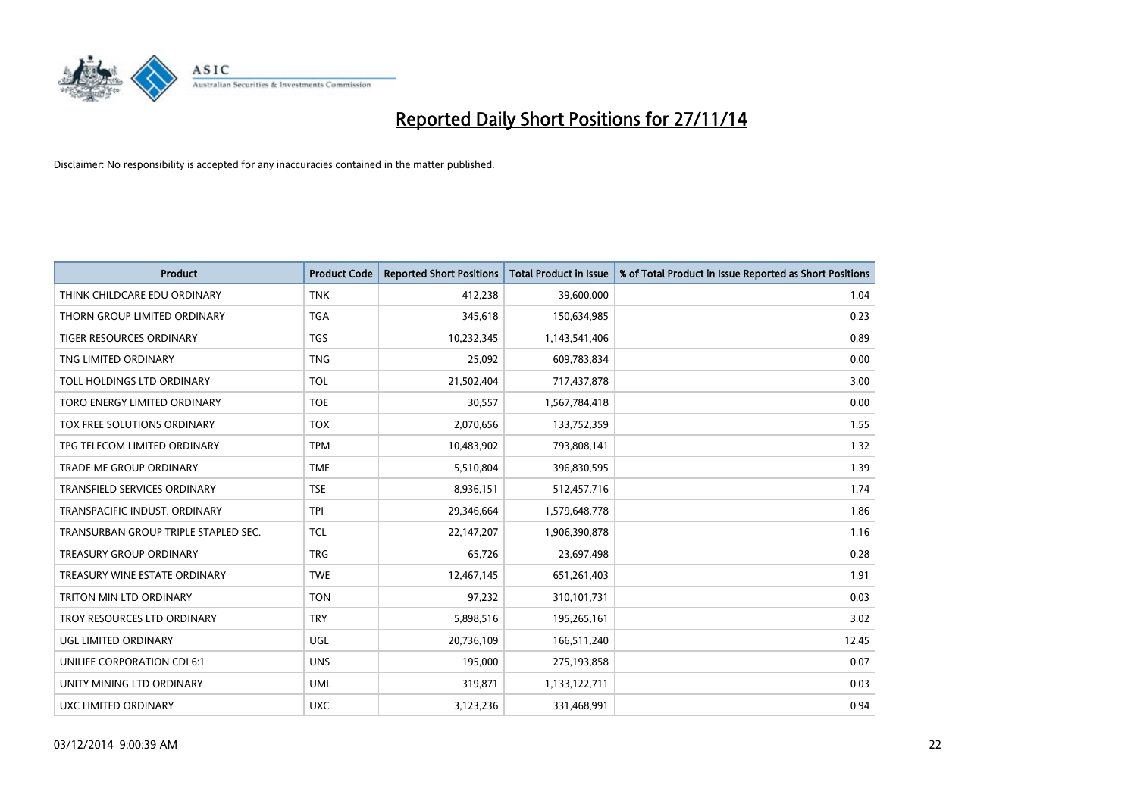

| <b>Product</b>                       | <b>Product Code</b> | <b>Reported Short Positions</b> | <b>Total Product in Issue</b> | % of Total Product in Issue Reported as Short Positions |
|--------------------------------------|---------------------|---------------------------------|-------------------------------|---------------------------------------------------------|
| THINK CHILDCARE EDU ORDINARY         | <b>TNK</b>          | 412,238                         | 39,600,000                    | 1.04                                                    |
| THORN GROUP LIMITED ORDINARY         | <b>TGA</b>          | 345,618                         | 150,634,985                   | 0.23                                                    |
| <b>TIGER RESOURCES ORDINARY</b>      | <b>TGS</b>          | 10,232,345                      | 1,143,541,406                 | 0.89                                                    |
| TNG LIMITED ORDINARY                 | <b>TNG</b>          | 25,092                          | 609,783,834                   | 0.00                                                    |
| TOLL HOLDINGS LTD ORDINARY           | <b>TOL</b>          | 21,502,404                      | 717,437,878                   | 3.00                                                    |
| TORO ENERGY LIMITED ORDINARY         | <b>TOE</b>          | 30,557                          | 1,567,784,418                 | 0.00                                                    |
| TOX FREE SOLUTIONS ORDINARY          | <b>TOX</b>          | 2,070,656                       | 133,752,359                   | 1.55                                                    |
| TPG TELECOM LIMITED ORDINARY         | <b>TPM</b>          | 10,483,902                      | 793,808,141                   | 1.32                                                    |
| <b>TRADE ME GROUP ORDINARY</b>       | <b>TME</b>          | 5,510,804                       | 396,830,595                   | 1.39                                                    |
| TRANSFIELD SERVICES ORDINARY         | <b>TSE</b>          | 8,936,151                       | 512,457,716                   | 1.74                                                    |
| TRANSPACIFIC INDUST. ORDINARY        | <b>TPI</b>          | 29,346,664                      | 1,579,648,778                 | 1.86                                                    |
| TRANSURBAN GROUP TRIPLE STAPLED SEC. | <b>TCL</b>          | 22,147,207                      | 1,906,390,878                 | 1.16                                                    |
| TREASURY GROUP ORDINARY              | <b>TRG</b>          | 65,726                          | 23,697,498                    | 0.28                                                    |
| TREASURY WINE ESTATE ORDINARY        | <b>TWE</b>          | 12,467,145                      | 651,261,403                   | 1.91                                                    |
| <b>TRITON MIN LTD ORDINARY</b>       | <b>TON</b>          | 97,232                          | 310,101,731                   | 0.03                                                    |
| TROY RESOURCES LTD ORDINARY          | <b>TRY</b>          | 5,898,516                       | 195,265,161                   | 3.02                                                    |
| UGL LIMITED ORDINARY                 | UGL                 | 20,736,109                      | 166,511,240                   | 12.45                                                   |
| UNILIFE CORPORATION CDI 6:1          | <b>UNS</b>          | 195,000                         | 275,193,858                   | 0.07                                                    |
| UNITY MINING LTD ORDINARY            | <b>UML</b>          | 319,871                         | 1,133,122,711                 | 0.03                                                    |
| UXC LIMITED ORDINARY                 | <b>UXC</b>          | 3,123,236                       | 331,468,991                   | 0.94                                                    |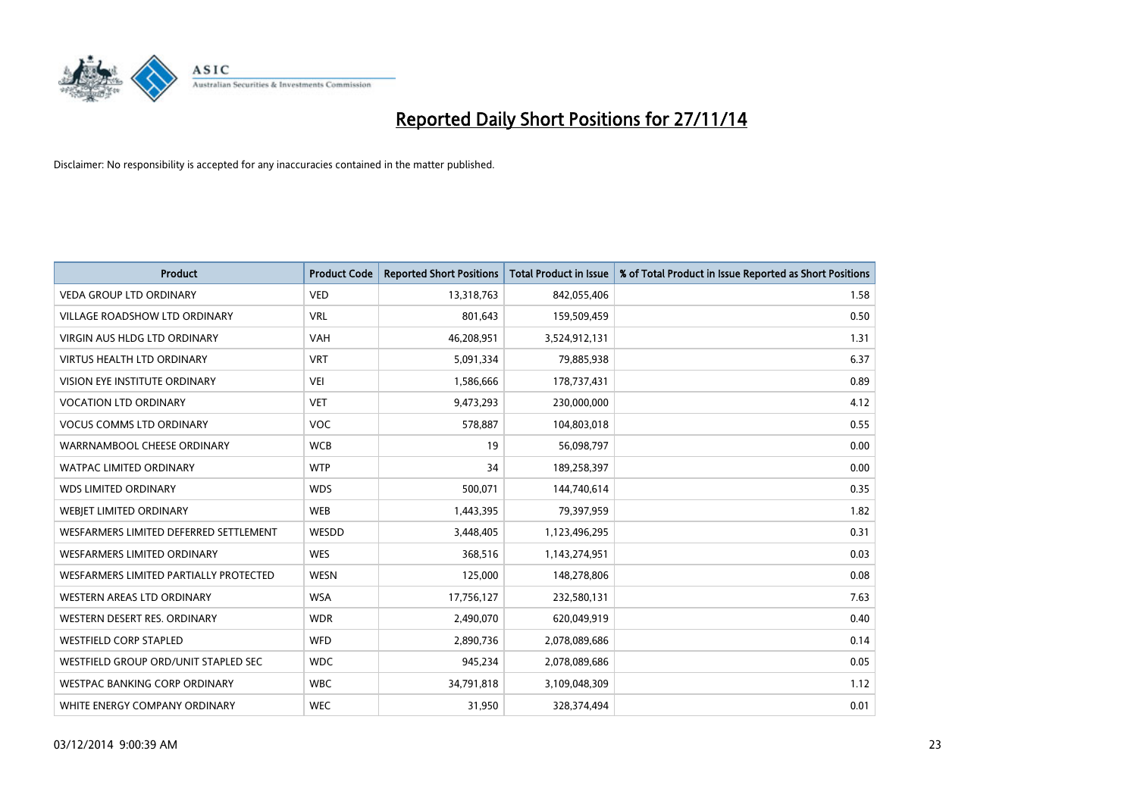

| <b>Product</b>                         | <b>Product Code</b> | <b>Reported Short Positions</b> | <b>Total Product in Issue</b> | % of Total Product in Issue Reported as Short Positions |
|----------------------------------------|---------------------|---------------------------------|-------------------------------|---------------------------------------------------------|
| <b>VEDA GROUP LTD ORDINARY</b>         | <b>VED</b>          | 13,318,763                      | 842,055,406                   | 1.58                                                    |
| VILLAGE ROADSHOW LTD ORDINARY          | <b>VRL</b>          | 801,643                         | 159,509,459                   | 0.50                                                    |
| <b>VIRGIN AUS HLDG LTD ORDINARY</b>    | <b>VAH</b>          | 46,208,951                      | 3,524,912,131                 | 1.31                                                    |
| <b>VIRTUS HEALTH LTD ORDINARY</b>      | <b>VRT</b>          | 5,091,334                       | 79,885,938                    | 6.37                                                    |
| VISION EYE INSTITUTE ORDINARY          | <b>VEI</b>          | 1,586,666                       | 178,737,431                   | 0.89                                                    |
| <b>VOCATION LTD ORDINARY</b>           | <b>VET</b>          | 9,473,293                       | 230,000,000                   | 4.12                                                    |
| <b>VOCUS COMMS LTD ORDINARY</b>        | VOC                 | 578,887                         | 104,803,018                   | 0.55                                                    |
| WARRNAMBOOL CHEESE ORDINARY            | <b>WCB</b>          | 19                              | 56,098,797                    | 0.00                                                    |
| <b>WATPAC LIMITED ORDINARY</b>         | <b>WTP</b>          | 34                              | 189,258,397                   | 0.00                                                    |
| <b>WDS LIMITED ORDINARY</b>            | <b>WDS</b>          | 500,071                         | 144,740,614                   | 0.35                                                    |
| WEBJET LIMITED ORDINARY                | <b>WEB</b>          | 1,443,395                       | 79,397,959                    | 1.82                                                    |
| WESFARMERS LIMITED DEFERRED SETTLEMENT | WESDD               | 3,448,405                       | 1,123,496,295                 | 0.31                                                    |
| WESFARMERS LIMITED ORDINARY            | <b>WES</b>          | 368,516                         | 1,143,274,951                 | 0.03                                                    |
| WESFARMERS LIMITED PARTIALLY PROTECTED | <b>WESN</b>         | 125,000                         | 148,278,806                   | 0.08                                                    |
| <b>WESTERN AREAS LTD ORDINARY</b>      | <b>WSA</b>          | 17,756,127                      | 232,580,131                   | 7.63                                                    |
| WESTERN DESERT RES. ORDINARY           | <b>WDR</b>          | 2,490,070                       | 620,049,919                   | 0.40                                                    |
| <b>WESTFIELD CORP STAPLED</b>          | <b>WFD</b>          | 2,890,736                       | 2,078,089,686                 | 0.14                                                    |
| WESTFIELD GROUP ORD/UNIT STAPLED SEC   | <b>WDC</b>          | 945,234                         | 2,078,089,686                 | 0.05                                                    |
| WESTPAC BANKING CORP ORDINARY          | <b>WBC</b>          | 34,791,818                      | 3,109,048,309                 | 1.12                                                    |
| WHITE ENERGY COMPANY ORDINARY          | <b>WEC</b>          | 31,950                          | 328,374,494                   | 0.01                                                    |